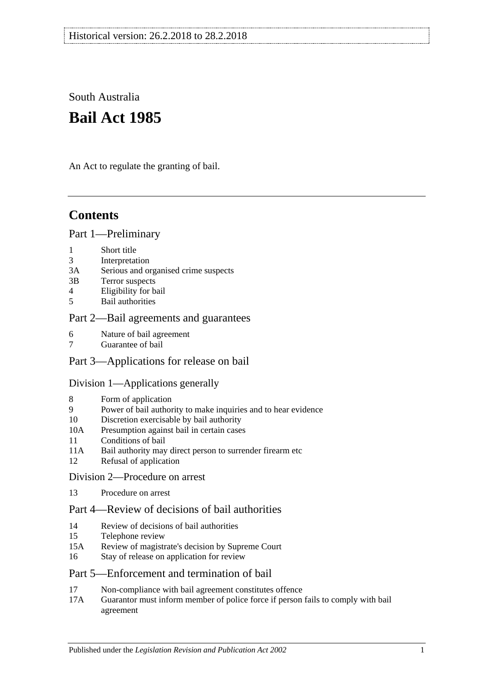South Australia

# **Bail Act 1985**

An Act to regulate the granting of bail.

## **Contents**

#### [Part 1—Preliminary](#page-1-0)

- 1 [Short title](#page-1-1)
- 3 [Interpretation](#page-1-2)
- 3A [Serious and organised crime suspects](#page-3-0)
- 3B [Terror suspects](#page-4-0)
- 4 [Eligibility for bail](#page-4-1)
- 5 [Bail authorities](#page-5-0)

### [Part 2—Bail agreements and guarantees](#page-6-0)

- 6 [Nature of bail agreement](#page-6-1)
- 7 [Guarantee of bail](#page-7-0)

### Part [3—Applications for release on bail](#page-8-0)

#### [Division 1—Applications generally](#page-8-1)

- 8 [Form of application](#page-8-2)
- 9 [Power of bail authority to make inquiries and to hear evidence](#page-9-0)
- 10 [Discretion exercisable by bail authority](#page-9-1)
- 10A [Presumption against bail in certain cases](#page-10-0)
- 11 [Conditions of bail](#page-11-0)
- 11A [Bail authority may direct person to surrender firearm etc](#page-15-0)
- 12 [Refusal of application](#page-16-0)

### [Division 2—Procedure on arrest](#page-16-1)

13 [Procedure on arrest](#page-16-2)

### [Part 4—Review of decisions of bail authorities](#page-17-0)

- 14 [Review of decisions of bail authorities](#page-17-1)
- 15 [Telephone review](#page-18-0)
- 15A [Review of magistrate's decision by Supreme Court](#page-19-0)
- 16 [Stay of release on application for review](#page-19-1)

### [Part 5—Enforcement and termination of bail](#page-20-0)

- 17 [Non-compliance with bail agreement constitutes offence](#page-20-1)
- 17A [Guarantor must inform member of police force if person fails to comply with bail](#page-21-0)  [agreement](#page-21-0)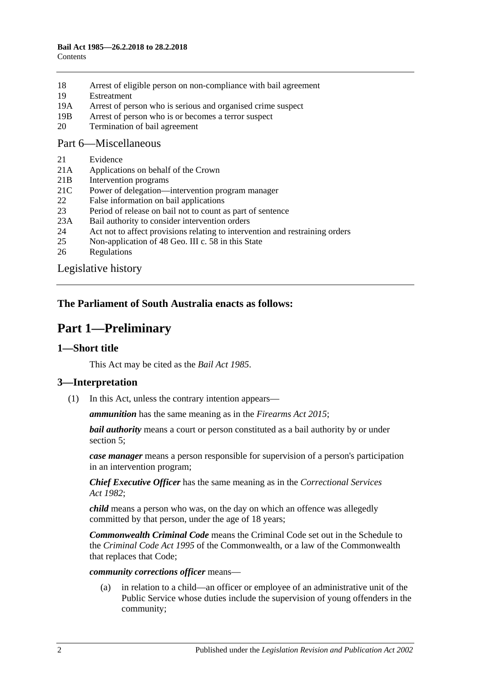- 18 [Arrest of eligible person on non-compliance with bail agreement](#page-21-1)
- 19 [Estreatment](#page-21-2)
- 19A [Arrest of person who is serious and organised crime suspect](#page-22-0)
- 19B [Arrest of person who is or becomes a terror suspect](#page-22-1)
- 20 [Termination of bail agreement](#page-22-2)

#### [Part 6—Miscellaneous](#page-22-3)

- 21 [Evidence](#page-22-4)
- 21A [Applications on behalf of the Crown](#page-23-0)
- 21B [Intervention programs](#page-23-1)
- 21C [Power of delegation—intervention program manager](#page-24-0)
- 22 [False information on bail applications](#page-24-1)
- 23 [Period of release on bail not to count as part of sentence](#page-24-2)
- 23A [Bail authority to consider intervention orders](#page-24-3)
- 24 [Act not to affect provisions relating to intervention and restraining orders](#page-25-0)
- 25 [Non-application of 48 Geo. III c. 58 in this State](#page-25-1)
- 26 [Regulations](#page-25-2)

[Legislative history](#page-26-0)

### <span id="page-1-0"></span>**The Parliament of South Australia enacts as follows:**

## **Part 1—Preliminary**

#### <span id="page-1-1"></span>**1—Short title**

This Act may be cited as the *Bail Act 1985*.

### <span id="page-1-2"></span>**3—Interpretation**

(1) In this Act, unless the contrary intention appears—

*ammunition* has the same meaning as in the *[Firearms Act](http://www.legislation.sa.gov.au/index.aspx?action=legref&type=act&legtitle=Firearms%20Act%202015) 2015*;

*bail authority* means a court or person constituted as a bail authority by or under [section](#page-5-0) 5;

*case manager* means a person responsible for supervision of a person's participation in an intervention program;

*Chief Executive Officer* has the same meaning as in the *[Correctional Services](http://www.legislation.sa.gov.au/index.aspx?action=legref&type=act&legtitle=Correctional%20Services%20Act%201982)  Act [1982](http://www.legislation.sa.gov.au/index.aspx?action=legref&type=act&legtitle=Correctional%20Services%20Act%201982)*;

*child* means a person who was, on the day on which an offence was allegedly committed by that person, under the age of 18 years;

*Commonwealth Criminal Code* means the Criminal Code set out in the Schedule to the *Criminal Code Act 1995* of the Commonwealth, or a law of the Commonwealth that replaces that Code;

#### *community corrections officer* means—

(a) in relation to a child—an officer or employee of an administrative unit of the Public Service whose duties include the supervision of young offenders in the community;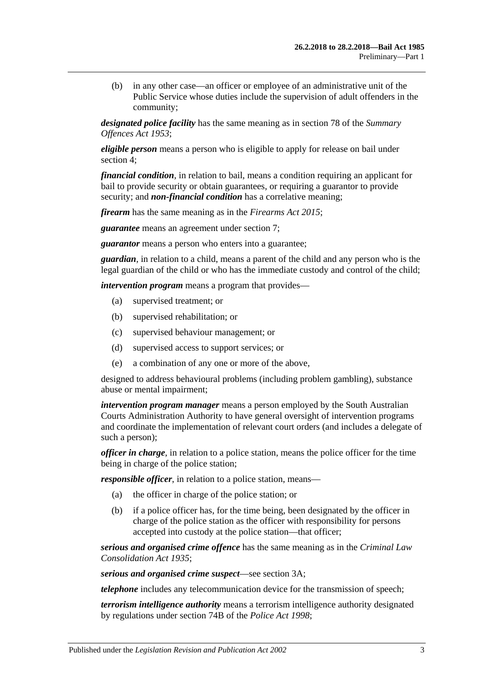(b) in any other case—an officer or employee of an administrative unit of the Public Service whose duties include the supervision of adult offenders in the community;

*designated police facility* has the same meaning as in section 78 of the *[Summary](http://www.legislation.sa.gov.au/index.aspx?action=legref&type=act&legtitle=Summary%20Offences%20Act%201953)  [Offences Act](http://www.legislation.sa.gov.au/index.aspx?action=legref&type=act&legtitle=Summary%20Offences%20Act%201953) 1953*;

*eligible person* means a person who is eligible to apply for release on bail under [section](#page-4-1) 4;

*financial condition*, in relation to bail, means a condition requiring an applicant for bail to provide security or obtain guarantees, or requiring a guarantor to provide security; and *non-financial condition* has a correlative meaning;

*firearm* has the same meaning as in the *[Firearms Act](http://www.legislation.sa.gov.au/index.aspx?action=legref&type=act&legtitle=Firearms%20Act%202015) 2015*;

*guarantee* means an agreement under [section](#page-7-0) 7;

*guarantor* means a person who enters into a guarantee;

*guardian*, in relation to a child, means a parent of the child and any person who is the legal guardian of the child or who has the immediate custody and control of the child;

*intervention program* means a program that provides—

- (a) supervised treatment; or
- (b) supervised rehabilitation; or
- (c) supervised behaviour management; or
- (d) supervised access to support services; or
- (e) a combination of any one or more of the above,

designed to address behavioural problems (including problem gambling), substance abuse or mental impairment;

*intervention program manager* means a person employed by the South Australian Courts Administration Authority to have general oversight of intervention programs and coordinate the implementation of relevant court orders (and includes a delegate of such a person);

*officer in charge*, in relation to a police station, means the police officer for the time being in charge of the police station;

*responsible officer*, in relation to a police station, means—

- (a) the officer in charge of the police station; or
- (b) if a police officer has, for the time being, been designated by the officer in charge of the police station as the officer with responsibility for persons accepted into custody at the police station—that officer;

*serious and organised crime offence* has the same meaning as in the *[Criminal Law](http://www.legislation.sa.gov.au/index.aspx?action=legref&type=act&legtitle=Criminal%20Law%20Consolidation%20Act%201935)  [Consolidation Act](http://www.legislation.sa.gov.au/index.aspx?action=legref&type=act&legtitle=Criminal%20Law%20Consolidation%20Act%201935) 1935*;

*serious and organised crime suspect*—see [section](#page-3-0) 3A;

*telephone* includes any telecommunication device for the transmission of speech;

*terrorism intelligence authority* means a terrorism intelligence authority designated by regulations under section 74B of the *[Police Act](http://www.legislation.sa.gov.au/index.aspx?action=legref&type=act&legtitle=Police%20Act%201998) 1998*;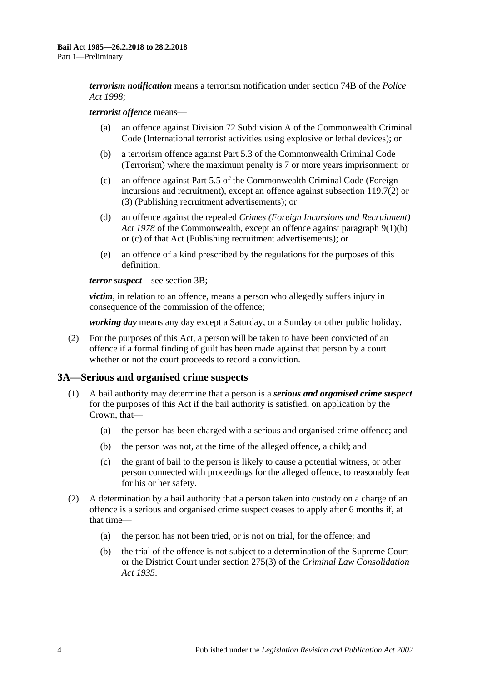*terrorism notification* means a terrorism notification under section 74B of the *[Police](http://www.legislation.sa.gov.au/index.aspx?action=legref&type=act&legtitle=Police%20Act%201998)  Act [1998](http://www.legislation.sa.gov.au/index.aspx?action=legref&type=act&legtitle=Police%20Act%201998)*;

#### *terrorist offence* means—

- (a) an offence against Division 72 Subdivision A of the Commonwealth Criminal Code (International terrorist activities using explosive or lethal devices); or
- (b) a terrorism offence against Part 5.3 of the Commonwealth Criminal Code (Terrorism) where the maximum penalty is 7 or more years imprisonment; or
- (c) an offence against Part 5.5 of the Commonwealth Criminal Code (Foreign incursions and recruitment), except an offence against subsection 119.7(2) or (3) (Publishing recruitment advertisements); or
- (d) an offence against the repealed *Crimes (Foreign Incursions and Recruitment) Act 1978* of the Commonwealth, except an offence against paragraph 9(1)(b) or (c) of that Act (Publishing recruitment advertisements); or
- (e) an offence of a kind prescribed by the regulations for the purposes of this definition;

#### *terror suspect*—see [section](#page-4-0) 3B;

*victim*, in relation to an offence, means a person who allegedly suffers injury in consequence of the commission of the offence;

*working day* means any day except a Saturday, or a Sunday or other public holiday.

(2) For the purposes of this Act, a person will be taken to have been convicted of an offence if a formal finding of guilt has been made against that person by a court whether or not the court proceeds to record a conviction.

#### <span id="page-3-0"></span>**3A—Serious and organised crime suspects**

- <span id="page-3-3"></span><span id="page-3-2"></span>(1) A bail authority may determine that a person is a *serious and organised crime suspect* for the purposes of this Act if the bail authority is satisfied, on application by the Crown, that—
	- (a) the person has been charged with a serious and organised crime offence; and
	- (b) the person was not, at the time of the alleged offence, a child; and
	- (c) the grant of bail to the person is likely to cause a potential witness, or other person connected with proceedings for the alleged offence, to reasonably fear for his or her safety.
- <span id="page-3-4"></span><span id="page-3-1"></span>(2) A determination by a bail authority that a person taken into custody on a charge of an offence is a serious and organised crime suspect ceases to apply after 6 months if, at that time—
	- (a) the person has not been tried, or is not on trial, for the offence; and
	- (b) the trial of the offence is not subject to a determination of the Supreme Court or the District Court under section 275(3) of the *[Criminal Law Consolidation](http://www.legislation.sa.gov.au/index.aspx?action=legref&type=act&legtitle=Criminal%20Law%20Consolidation%20Act%201935)  Act [1935](http://www.legislation.sa.gov.au/index.aspx?action=legref&type=act&legtitle=Criminal%20Law%20Consolidation%20Act%201935)*.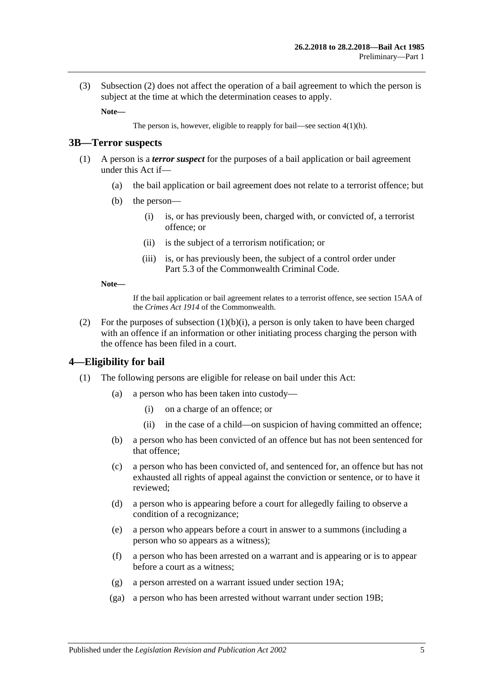(3) [Subsection](#page-3-1) (2) does not affect the operation of a bail agreement to which the person is subject at the time at which the determination ceases to apply.

**Note—**

The person is, however, eligible to reapply for bail—see section [4\(1\)\(h\).](#page-5-1)

#### <span id="page-4-0"></span>**3B—Terror suspects**

- <span id="page-4-2"></span>(1) A person is a *terror suspect* for the purposes of a bail application or bail agreement under this Act if—
	- (a) the bail application or bail agreement does not relate to a terrorist offence; but
	- (b) the person—
		- (i) is, or has previously been, charged with, or convicted of, a terrorist offence; or
		- (ii) is the subject of a terrorism notification; or
		- (iii) is, or has previously been, the subject of a control order under Part 5.3 of the Commonwealth Criminal Code.

#### **Note—**

If the bail application or bail agreement relates to a terrorist offence, see section 15AA of the *Crimes Act 1914* of the Commonwealth.

(2) For the purposes of [subsection](#page-4-2)  $(1)(b)(i)$ , a person is only taken to have been charged with an offence if an information or other initiating process charging the person with the offence has been filed in a court.

#### <span id="page-4-1"></span>**4—Eligibility for bail**

- (1) The following persons are eligible for release on bail under this Act:
	- (a) a person who has been taken into custody—
		- (i) on a charge of an offence; or
		- (ii) in the case of a child—on suspicion of having committed an offence;
	- (b) a person who has been convicted of an offence but has not been sentenced for that offence;
	- (c) a person who has been convicted of, and sentenced for, an offence but has not exhausted all rights of appeal against the conviction or sentence, or to have it reviewed;
	- (d) a person who is appearing before a court for allegedly failing to observe a condition of a recognizance;
	- (e) a person who appears before a court in answer to a summons (including a person who so appears as a witness);
	- (f) a person who has been arrested on a warrant and is appearing or is to appear before a court as a witness;
	- (g) a person arrested on a warrant issued under [section](#page-22-0) 19A;
	- (ga) a person who has been arrested without warrant under [section](#page-22-1) 19B;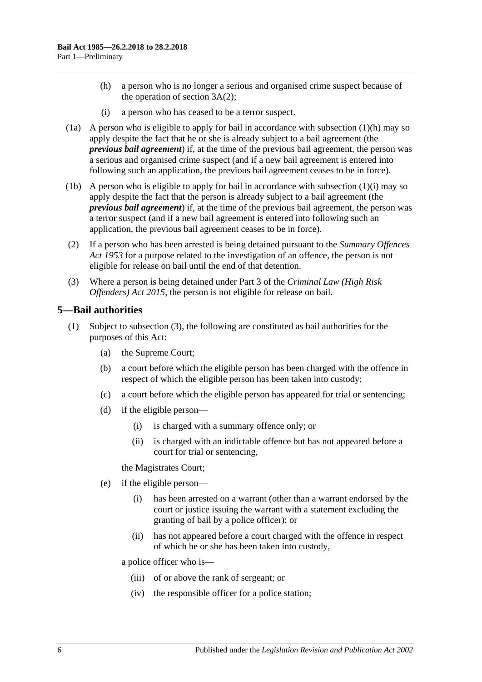- <span id="page-5-1"></span>(h) a person who is no longer a serious and organised crime suspect because of the operation of [section](#page-3-1) 3A(2);
- (i) a person who has ceased to be a terror suspect.
- <span id="page-5-2"></span>(1a) A person who is eligible to apply for bail in accordance with [subsection](#page-5-1)  $(1)(h)$  may so apply despite the fact that he or she is already subject to a bail agreement (the *previous bail agreement*) if, at the time of the previous bail agreement, the person was a serious and organised crime suspect (and if a new bail agreement is entered into following such an application, the previous bail agreement ceases to be in force).
- (1b) A person who is eligible to apply for bail in accordance with [subsection](#page-5-2) (1)(i) may so apply despite the fact that the person is already subject to a bail agreement (the *previous bail agreement*) if, at the time of the previous bail agreement, the person was a terror suspect (and if a new bail agreement is entered into following such an application, the previous bail agreement ceases to be in force).
- (2) If a person who has been arrested is being detained pursuant to the *[Summary Offences](http://www.legislation.sa.gov.au/index.aspx?action=legref&type=act&legtitle=Summary%20Offences%20Act%201953)  Act [1953](http://www.legislation.sa.gov.au/index.aspx?action=legref&type=act&legtitle=Summary%20Offences%20Act%201953)* for a purpose related to the investigation of an offence, the person is not eligible for release on bail until the end of that detention.
- (3) Where a person is being detained under Part 3 of the *[Criminal Law \(High Risk](http://www.legislation.sa.gov.au/index.aspx?action=legref&type=act&legtitle=Criminal%20Law%20(High%20Risk%20Offenders)%20Act%202015)  [Offenders\) Act](http://www.legislation.sa.gov.au/index.aspx?action=legref&type=act&legtitle=Criminal%20Law%20(High%20Risk%20Offenders)%20Act%202015) 2015*, the person is not eligible for release on bail.

### <span id="page-5-3"></span><span id="page-5-0"></span>**5—Bail authorities**

- (1) Subject to [subsection](#page-6-2) (3), the following are constituted as bail authorities for the purposes of this Act:
	- (a) the Supreme Court;
	- (b) a court before which the eligible person has been charged with the offence in respect of which the eligible person has been taken into custody;
	- (c) a court before which the eligible person has appeared for trial or sentencing;
	- (d) if the eligible person—
		- (i) is charged with a summary offence only; or
		- (ii) is charged with an indictable offence but has not appeared before a court for trial or sentencing,

the Magistrates Court;

- (e) if the eligible person—
	- (i) has been arrested on a warrant (other than a warrant endorsed by the court or justice issuing the warrant with a statement excluding the granting of bail by a police officer); or
	- (ii) has not appeared before a court charged with the offence in respect of which he or she has been taken into custody,

a police officer who is—

- (iii) of or above the rank of sergeant; or
- (iv) the responsible officer for a police station;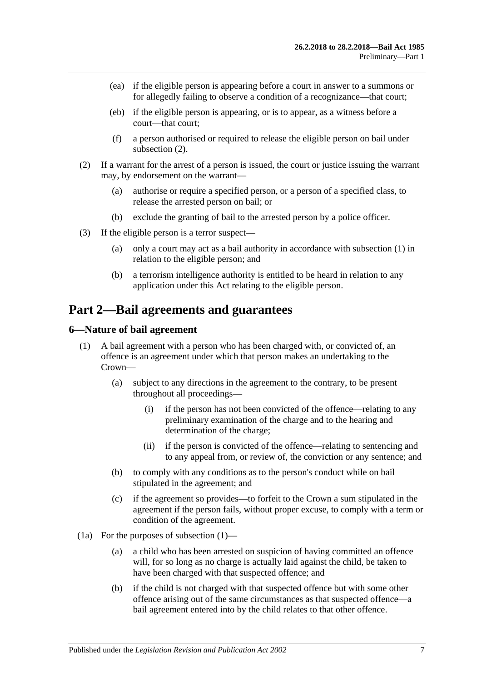- (ea) if the eligible person is appearing before a court in answer to a summons or for allegedly failing to observe a condition of a recognizance—that court;
- (eb) if the eligible person is appearing, or is to appear, as a witness before a court—that court;
- (f) a person authorised or required to release the eligible person on bail under [subsection](#page-6-3) (2).
- <span id="page-6-3"></span>(2) If a warrant for the arrest of a person is issued, the court or justice issuing the warrant may, by endorsement on the warrant—
	- (a) authorise or require a specified person, or a person of a specified class, to release the arrested person on bail; or
	- (b) exclude the granting of bail to the arrested person by a police officer.
- <span id="page-6-2"></span>(3) If the eligible person is a terror suspect—
	- (a) only a court may act as a bail authority in accordance with [subsection](#page-5-3) (1) in relation to the eligible person; and
	- (b) a terrorism intelligence authority is entitled to be heard in relation to any application under this Act relating to the eligible person.

## <span id="page-6-0"></span>**Part 2—Bail agreements and guarantees**

### <span id="page-6-4"></span><span id="page-6-1"></span>**6—Nature of bail agreement**

- (1) A bail agreement with a person who has been charged with, or convicted of, an offence is an agreement under which that person makes an undertaking to the Crown—
	- (a) subject to any directions in the agreement to the contrary, to be present throughout all proceedings—
		- (i) if the person has not been convicted of the offence—relating to any preliminary examination of the charge and to the hearing and determination of the charge;
		- (ii) if the person is convicted of the offence—relating to sentencing and to any appeal from, or review of, the conviction or any sentence; and
	- (b) to comply with any conditions as to the person's conduct while on bail stipulated in the agreement; and
	- (c) if the agreement so provides—to forfeit to the Crown a sum stipulated in the agreement if the person fails, without proper excuse, to comply with a term or condition of the agreement.
- (1a) For the purposes of [subsection](#page-6-4) (1)—
	- (a) a child who has been arrested on suspicion of having committed an offence will, for so long as no charge is actually laid against the child, be taken to have been charged with that suspected offence; and
	- (b) if the child is not charged with that suspected offence but with some other offence arising out of the same circumstances as that suspected offence—a bail agreement entered into by the child relates to that other offence.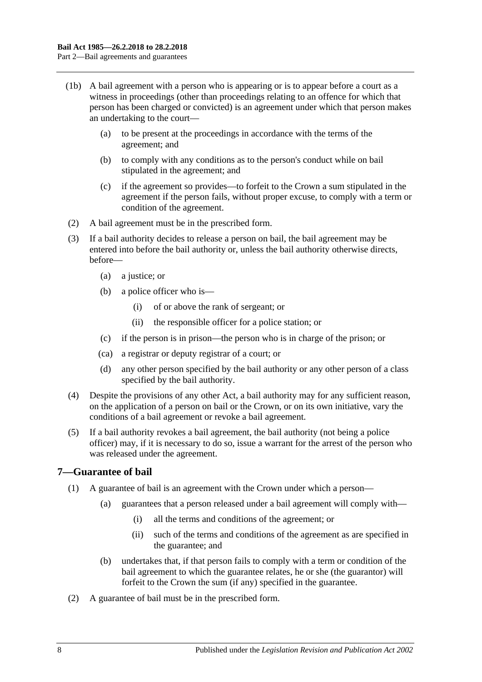- (1b) A bail agreement with a person who is appearing or is to appear before a court as a witness in proceedings (other than proceedings relating to an offence for which that person has been charged or convicted) is an agreement under which that person makes an undertaking to the court—
	- (a) to be present at the proceedings in accordance with the terms of the agreement; and
	- (b) to comply with any conditions as to the person's conduct while on bail stipulated in the agreement; and
	- (c) if the agreement so provides—to forfeit to the Crown a sum stipulated in the agreement if the person fails, without proper excuse, to comply with a term or condition of the agreement.
- (2) A bail agreement must be in the prescribed form.
- (3) If a bail authority decides to release a person on bail, the bail agreement may be entered into before the bail authority or, unless the bail authority otherwise directs, before—
	- (a) a justice; or
	- (b) a police officer who is—
		- (i) of or above the rank of sergeant; or
		- (ii) the responsible officer for a police station; or
	- (c) if the person is in prison—the person who is in charge of the prison; or
	- (ca) a registrar or deputy registrar of a court; or
	- (d) any other person specified by the bail authority or any other person of a class specified by the bail authority.
- (4) Despite the provisions of any other Act, a bail authority may for any sufficient reason, on the application of a person on bail or the Crown, or on its own initiative, vary the conditions of a bail agreement or revoke a bail agreement.
- (5) If a bail authority revokes a bail agreement, the bail authority (not being a police officer) may, if it is necessary to do so, issue a warrant for the arrest of the person who was released under the agreement.

### <span id="page-7-0"></span>**7—Guarantee of bail**

- (1) A guarantee of bail is an agreement with the Crown under which a person—
	- (a) guarantees that a person released under a bail agreement will comply with—
		- (i) all the terms and conditions of the agreement; or
		- (ii) such of the terms and conditions of the agreement as are specified in the guarantee; and
	- (b) undertakes that, if that person fails to comply with a term or condition of the bail agreement to which the guarantee relates, he or she (the guarantor) will forfeit to the Crown the sum (if any) specified in the guarantee.
- (2) A guarantee of bail must be in the prescribed form.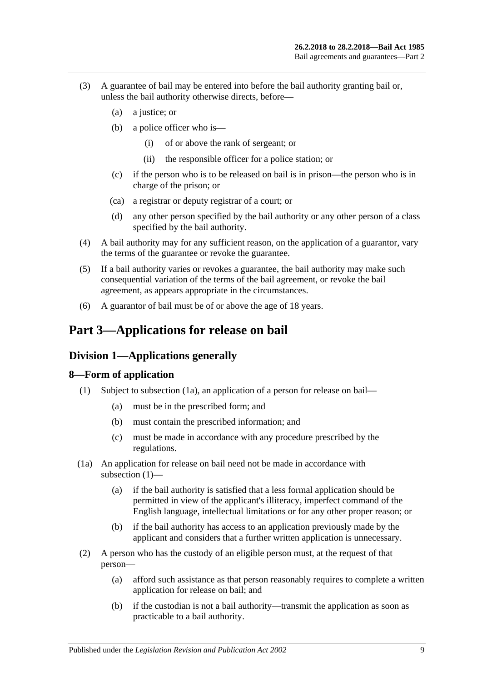- (3) A guarantee of bail may be entered into before the bail authority granting bail or, unless the bail authority otherwise directs, before—
	- (a) a justice; or
	- (b) a police officer who is—
		- (i) of or above the rank of sergeant; or
		- (ii) the responsible officer for a police station; or
	- (c) if the person who is to be released on bail is in prison—the person who is in charge of the prison; or
	- (ca) a registrar or deputy registrar of a court; or
	- (d) any other person specified by the bail authority or any other person of a class specified by the bail authority.
- (4) A bail authority may for any sufficient reason, on the application of a guarantor, vary the terms of the guarantee or revoke the guarantee.
- (5) If a bail authority varies or revokes a guarantee, the bail authority may make such consequential variation of the terms of the bail agreement, or revoke the bail agreement, as appears appropriate in the circumstances.
- (6) A guarantor of bail must be of or above the age of 18 years.

## <span id="page-8-1"></span><span id="page-8-0"></span>**Part 3—Applications for release on bail**

### **Division 1—Applications generally**

### <span id="page-8-4"></span><span id="page-8-2"></span>**8—Form of application**

- (1) Subject to [subsection](#page-8-3) (1a), an application of a person for release on bail—
	- (a) must be in the prescribed form; and
	- (b) must contain the prescribed information; and
	- (c) must be made in accordance with any procedure prescribed by the regulations.
- <span id="page-8-3"></span>(1a) An application for release on bail need not be made in accordance with [subsection](#page-8-4) (1)—
	- (a) if the bail authority is satisfied that a less formal application should be permitted in view of the applicant's illiteracy, imperfect command of the English language, intellectual limitations or for any other proper reason; or
	- (b) if the bail authority has access to an application previously made by the applicant and considers that a further written application is unnecessary.
- <span id="page-8-5"></span>(2) A person who has the custody of an eligible person must, at the request of that person—
	- (a) afford such assistance as that person reasonably requires to complete a written application for release on bail; and
	- (b) if the custodian is not a bail authority—transmit the application as soon as practicable to a bail authority.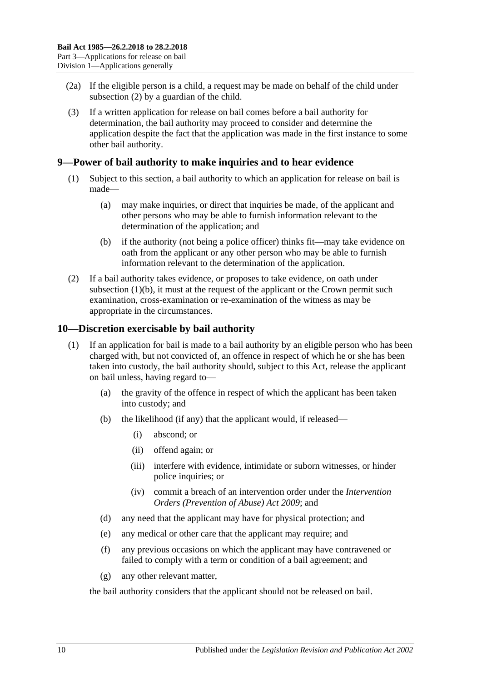- (2a) If the eligible person is a child, a request may be made on behalf of the child under [subsection](#page-8-5) (2) by a guardian of the child.
- (3) If a written application for release on bail comes before a bail authority for determination, the bail authority may proceed to consider and determine the application despite the fact that the application was made in the first instance to some other bail authority.

### <span id="page-9-0"></span>**9—Power of bail authority to make inquiries and to hear evidence**

- (1) Subject to this section, a bail authority to which an application for release on bail is made—
	- (a) may make inquiries, or direct that inquiries be made, of the applicant and other persons who may be able to furnish information relevant to the determination of the application; and
	- (b) if the authority (not being a police officer) thinks fit—may take evidence on oath from the applicant or any other person who may be able to furnish information relevant to the determination of the application.
- <span id="page-9-2"></span>(2) If a bail authority takes evidence, or proposes to take evidence, on oath under [subsection](#page-9-2)  $(1)(b)$ , it must at the request of the applicant or the Crown permit such examination, cross-examination or re-examination of the witness as may be appropriate in the circumstances.

### <span id="page-9-1"></span>**10—Discretion exercisable by bail authority**

- (1) If an application for bail is made to a bail authority by an eligible person who has been charged with, but not convicted of, an offence in respect of which he or she has been taken into custody, the bail authority should, subject to this Act, release the applicant on bail unless, having regard to—
	- (a) the gravity of the offence in respect of which the applicant has been taken into custody; and
	- (b) the likelihood (if any) that the applicant would, if released—
		- (i) abscond; or
		- (ii) offend again; or
		- (iii) interfere with evidence, intimidate or suborn witnesses, or hinder police inquiries; or
		- (iv) commit a breach of an intervention order under the *[Intervention](http://www.legislation.sa.gov.au/index.aspx?action=legref&type=act&legtitle=Intervention%20Orders%20(Prevention%20of%20Abuse)%20Act%202009)  [Orders \(Prevention of Abuse\) Act](http://www.legislation.sa.gov.au/index.aspx?action=legref&type=act&legtitle=Intervention%20Orders%20(Prevention%20of%20Abuse)%20Act%202009) 2009*; and
	- (d) any need that the applicant may have for physical protection; and
	- (e) any medical or other care that the applicant may require; and
	- (f) any previous occasions on which the applicant may have contravened or failed to comply with a term or condition of a bail agreement; and
	- (g) any other relevant matter,

the bail authority considers that the applicant should not be released on bail.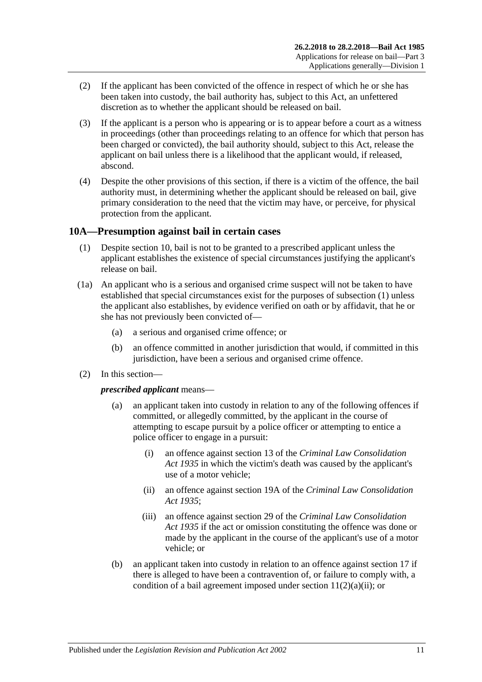- (2) If the applicant has been convicted of the offence in respect of which he or she has been taken into custody, the bail authority has, subject to this Act, an unfettered discretion as to whether the applicant should be released on bail.
- (3) If the applicant is a person who is appearing or is to appear before a court as a witness in proceedings (other than proceedings relating to an offence for which that person has been charged or convicted), the bail authority should, subject to this Act, release the applicant on bail unless there is a likelihood that the applicant would, if released, abscond.
- (4) Despite the other provisions of this section, if there is a victim of the offence, the bail authority must, in determining whether the applicant should be released on bail, give primary consideration to the need that the victim may have, or perceive, for physical protection from the applicant.

### <span id="page-10-1"></span><span id="page-10-0"></span>**10A—Presumption against bail in certain cases**

- (1) Despite [section](#page-9-1) 10, bail is not to be granted to a prescribed applicant unless the applicant establishes the existence of special circumstances justifying the applicant's release on bail.
- (1a) An applicant who is a serious and organised crime suspect will not be taken to have established that special circumstances exist for the purposes of [subsection](#page-10-1) (1) unless the applicant also establishes, by evidence verified on oath or by affidavit, that he or she has not previously been convicted of—
	- (a) a serious and organised crime offence; or
	- (b) an offence committed in another jurisdiction that would, if committed in this jurisdiction, have been a serious and organised crime offence.
- (2) In this section—

*prescribed applicant* means—

- (a) an applicant taken into custody in relation to any of the following offences if committed, or allegedly committed, by the applicant in the course of attempting to escape pursuit by a police officer or attempting to entice a police officer to engage in a pursuit:
	- (i) an offence against section 13 of the *[Criminal Law Consolidation](http://www.legislation.sa.gov.au/index.aspx?action=legref&type=act&legtitle=Criminal%20Law%20Consolidation%20Act%201935)  Act [1935](http://www.legislation.sa.gov.au/index.aspx?action=legref&type=act&legtitle=Criminal%20Law%20Consolidation%20Act%201935)* in which the victim's death was caused by the applicant's use of a motor vehicle;
	- (ii) an offence against section 19A of the *[Criminal Law Consolidation](http://www.legislation.sa.gov.au/index.aspx?action=legref&type=act&legtitle=Criminal%20Law%20Consolidation%20Act%201935)  Act [1935](http://www.legislation.sa.gov.au/index.aspx?action=legref&type=act&legtitle=Criminal%20Law%20Consolidation%20Act%201935)*;
	- (iii) an offence against section 29 of the *[Criminal Law Consolidation](http://www.legislation.sa.gov.au/index.aspx?action=legref&type=act&legtitle=Criminal%20Law%20Consolidation%20Act%201935)  Act [1935](http://www.legislation.sa.gov.au/index.aspx?action=legref&type=act&legtitle=Criminal%20Law%20Consolidation%20Act%201935)* if the act or omission constituting the offence was done or made by the applicant in the course of the applicant's use of a motor vehicle; or
- (b) an applicant taken into custody in relation to an offence against [section](#page-20-1) 17 if there is alleged to have been a contravention of, or failure to comply with, a condition of a bail agreement imposed under section  $11(2)(a)(ii)$ ; or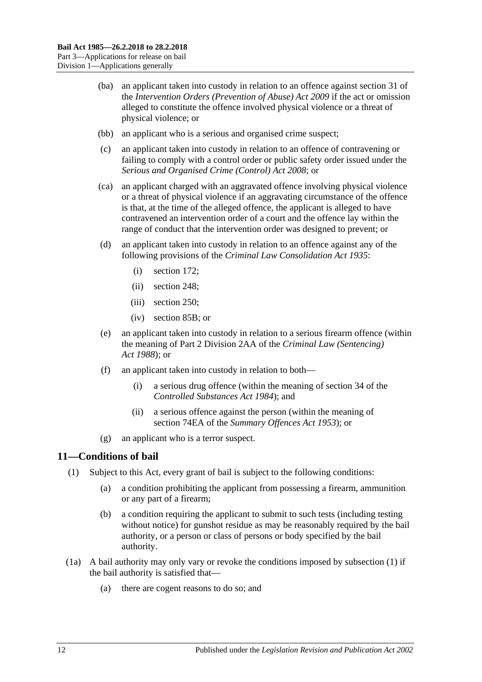- (ba) an applicant taken into custody in relation to an offence against section 31 of the *[Intervention Orders \(Prevention of Abuse\) Act](http://www.legislation.sa.gov.au/index.aspx?action=legref&type=act&legtitle=Intervention%20Orders%20(Prevention%20of%20Abuse)%20Act%202009) 2009* if the act or omission alleged to constitute the offence involved physical violence or a threat of physical violence; or
- (bb) an applicant who is a serious and organised crime suspect;
- (c) an applicant taken into custody in relation to an offence of contravening or failing to comply with a control order or public safety order issued under the *[Serious and Organised Crime \(Control\) Act](http://www.legislation.sa.gov.au/index.aspx?action=legref&type=act&legtitle=Serious%20and%20Organised%20Crime%20(Control)%20Act%202008) 2008*; or
- (ca) an applicant charged with an aggravated offence involving physical violence or a threat of physical violence if an aggravating circumstance of the offence is that, at the time of the alleged offence, the applicant is alleged to have contravened an intervention order of a court and the offence lay within the range of conduct that the intervention order was designed to prevent; or
- (d) an applicant taken into custody in relation to an offence against any of the following provisions of the *[Criminal Law Consolidation Act](http://www.legislation.sa.gov.au/index.aspx?action=legref&type=act&legtitle=Criminal%20Law%20Consolidation%20Act%201935) 1935*:
	- (i) section 172;
	- (ii) section 248;
	- (iii) section 250;
	- (iv) section 85B; or
- (e) an applicant taken into custody in relation to a serious firearm offence (within the meaning of Part 2 Division 2AA of the *[Criminal Law \(Sentencing\)](http://www.legislation.sa.gov.au/index.aspx?action=legref&type=act&legtitle=Criminal%20Law%20(Sentencing)%20Act%201988)  Act [1988](http://www.legislation.sa.gov.au/index.aspx?action=legref&type=act&legtitle=Criminal%20Law%20(Sentencing)%20Act%201988)*); or
- (f) an applicant taken into custody in relation to both—
	- (i) a serious drug offence (within the meaning of section 34 of the *[Controlled Substances Act](http://www.legislation.sa.gov.au/index.aspx?action=legref&type=act&legtitle=Controlled%20Substances%20Act%201984) 1984*); and
	- (ii) a serious offence against the person (within the meaning of section 74EA of the *[Summary Offences Act](http://www.legislation.sa.gov.au/index.aspx?action=legref&type=act&legtitle=Summary%20Offences%20Act%201953) 1953*); or
- (g) an applicant who is a terror suspect.

### <span id="page-11-1"></span><span id="page-11-0"></span>**11—Conditions of bail**

- <span id="page-11-3"></span>(1) Subject to this Act, every grant of bail is subject to the following conditions:
	- (a) a condition prohibiting the applicant from possessing a firearm, ammunition or any part of a firearm;
	- (b) a condition requiring the applicant to submit to such tests (including testing without notice) for gunshot residue as may be reasonably required by the bail authority, or a person or class of persons or body specified by the bail authority.
- <span id="page-11-2"></span>(1a) A bail authority may only vary or revoke the conditions imposed by [subsection](#page-11-1) (1) if the bail authority is satisfied that—
	- (a) there are cogent reasons to do so; and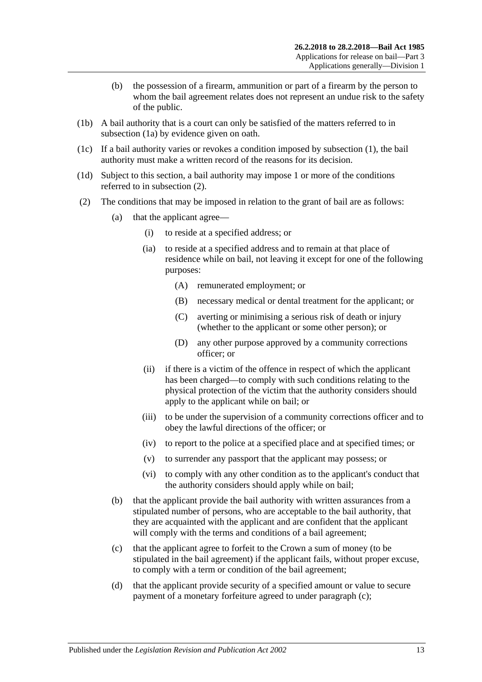- (b) the possession of a firearm, ammunition or part of a firearm by the person to whom the bail agreement relates does not represent an undue risk to the safety of the public.
- (1b) A bail authority that is a court can only be satisfied of the matters referred to in [subsection](#page-11-2) (1a) by evidence given on oath.
- (1c) If a bail authority varies or revokes a condition imposed by [subsection](#page-11-1) (1), the bail authority must make a written record of the reasons for its decision.
- (1d) Subject to this section, a bail authority may impose 1 or more of the conditions referred to in [subsection](#page-12-1) (2).
- <span id="page-12-4"></span><span id="page-12-3"></span><span id="page-12-2"></span><span id="page-12-1"></span><span id="page-12-0"></span>(2) The conditions that may be imposed in relation to the grant of bail are as follows:
	- (a) that the applicant agree—
		- (i) to reside at a specified address; or
		- (ia) to reside at a specified address and to remain at that place of residence while on bail, not leaving it except for one of the following purposes:
			- (A) remunerated employment; or
			- (B) necessary medical or dental treatment for the applicant; or
			- (C) averting or minimising a serious risk of death or injury (whether to the applicant or some other person); or
			- (D) any other purpose approved by a community corrections officer; or
		- (ii) if there is a victim of the offence in respect of which the applicant has been charged—to comply with such conditions relating to the physical protection of the victim that the authority considers should apply to the applicant while on bail; or
		- (iii) to be under the supervision of a community corrections officer and to obey the lawful directions of the officer; or
		- (iv) to report to the police at a specified place and at specified times; or
		- (v) to surrender any passport that the applicant may possess; or
		- (vi) to comply with any other condition as to the applicant's conduct that the authority considers should apply while on bail;
	- (b) that the applicant provide the bail authority with written assurances from a stipulated number of persons, who are acceptable to the bail authority, that they are acquainted with the applicant and are confident that the applicant will comply with the terms and conditions of a bail agreement;
	- (c) that the applicant agree to forfeit to the Crown a sum of money (to be stipulated in the bail agreement) if the applicant fails, without proper excuse, to comply with a term or condition of the bail agreement;
	- (d) that the applicant provide security of a specified amount or value to secure payment of a monetary forfeiture agreed to under [paragraph](#page-12-2) (c);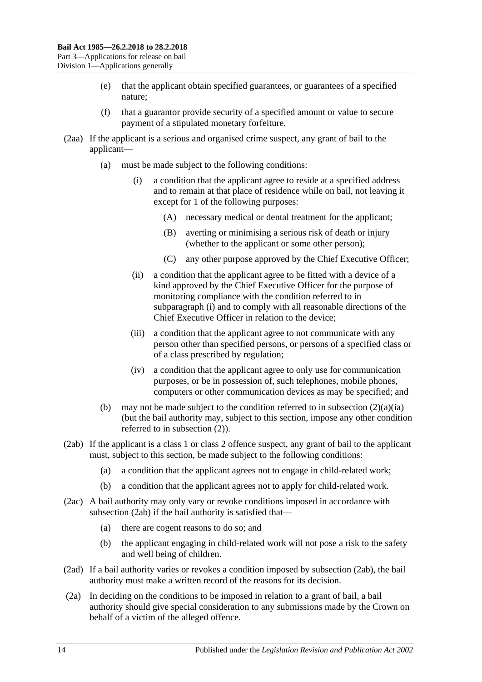- (e) that the applicant obtain specified guarantees, or guarantees of a specified nature;
- (f) that a guarantor provide security of a specified amount or value to secure payment of a stipulated monetary forfeiture.
- <span id="page-13-0"></span>(2aa) If the applicant is a serious and organised crime suspect, any grant of bail to the applicant—
	- (a) must be made subject to the following conditions:
		- (i) a condition that the applicant agree to reside at a specified address and to remain at that place of residence while on bail, not leaving it except for 1 of the following purposes:
			- (A) necessary medical or dental treatment for the applicant;
			- (B) averting or minimising a serious risk of death or injury (whether to the applicant or some other person);
			- (C) any other purpose approved by the Chief Executive Officer;
		- (ii) a condition that the applicant agree to be fitted with a device of a kind approved by the Chief Executive Officer for the purpose of monitoring compliance with the condition referred to in [subparagraph](#page-13-0) (i) and to comply with all reasonable directions of the Chief Executive Officer in relation to the device;
		- (iii) a condition that the applicant agree to not communicate with any person other than specified persons, or persons of a specified class or of a class prescribed by regulation;
		- (iv) a condition that the applicant agree to only use for communication purposes, or be in possession of, such telephones, mobile phones, computers or other communication devices as may be specified; and
	- (b) may not be made subject to the condition referred to in [subsection](#page-12-3)  $(2)(a)(ia)$ (but the bail authority may, subject to this section, impose any other condition referred to in [subsection](#page-12-1) (2)).
- <span id="page-13-1"></span>(2ab) If the applicant is a class 1 or class 2 offence suspect, any grant of bail to the applicant must, subject to this section, be made subject to the following conditions:
	- (a) a condition that the applicant agrees not to engage in child-related work;
	- (b) a condition that the applicant agrees not to apply for child-related work.
- (2ac) A bail authority may only vary or revoke conditions imposed in accordance with [subsection](#page-13-1) (2ab) if the bail authority is satisfied that—
	- (a) there are cogent reasons to do so; and
	- (b) the applicant engaging in child-related work will not pose a risk to the safety and well being of children.
- (2ad) If a bail authority varies or revokes a condition imposed by [subsection](#page-13-1) (2ab), the bail authority must make a written record of the reasons for its decision.
- (2a) In deciding on the conditions to be imposed in relation to a grant of bail, a bail authority should give special consideration to any submissions made by the Crown on behalf of a victim of the alleged offence.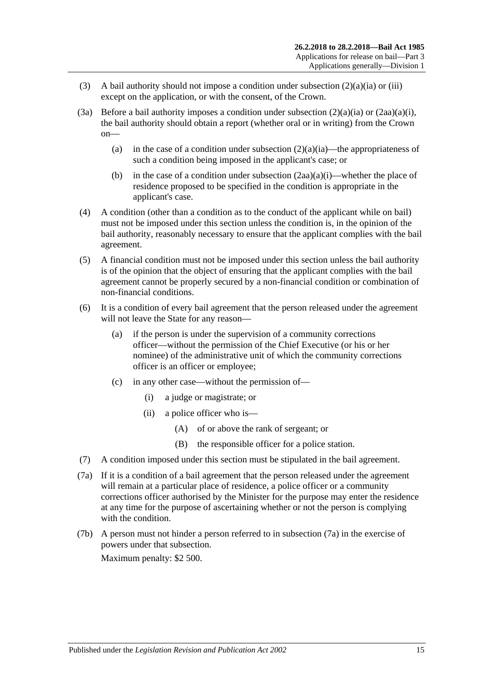- (3) A bail authority should not impose a condition under [subsection](#page-12-3)  $(2)(a)(ia)$  or [\(iii\)](#page-12-4) except on the application, or with the consent, of the Crown.
- (3a) Before a bail authority imposes a condition under [subsection](#page-12-3)  $(2)(a)(ia)$  or  $(2aa)(a)(i)$ , the bail authority should obtain a report (whether oral or in writing) from the Crown on
	- (a) in the case of a condition under [subsection](#page-12-3)  $(2)(a)(ia)$ —the appropriateness of such a condition being imposed in the applicant's case; or
	- (b) in the case of a condition under [subsection](#page-13-0)  $(2aa)(a)(i)$ —whether the place of residence proposed to be specified in the condition is appropriate in the applicant's case.
- (4) A condition (other than a condition as to the conduct of the applicant while on bail) must not be imposed under this section unless the condition is, in the opinion of the bail authority, reasonably necessary to ensure that the applicant complies with the bail agreement.
- (5) A financial condition must not be imposed under this section unless the bail authority is of the opinion that the object of ensuring that the applicant complies with the bail agreement cannot be properly secured by a non-financial condition or combination of non-financial conditions.
- (6) It is a condition of every bail agreement that the person released under the agreement will not leave the State for any reason—
	- (a) if the person is under the supervision of a community corrections officer—without the permission of the Chief Executive (or his or her nominee) of the administrative unit of which the community corrections officer is an officer or employee;
	- (c) in any other case—without the permission of—
		- (i) a judge or magistrate; or
		- (ii) a police officer who is—
			- (A) of or above the rank of sergeant; or
			- (B) the responsible officer for a police station.
- (7) A condition imposed under this section must be stipulated in the bail agreement.
- <span id="page-14-0"></span>(7a) If it is a condition of a bail agreement that the person released under the agreement will remain at a particular place of residence, a police officer or a community corrections officer authorised by the Minister for the purpose may enter the residence at any time for the purpose of ascertaining whether or not the person is complying with the condition.
- (7b) A person must not hinder a person referred to in [subsection](#page-14-0) (7a) in the exercise of powers under that subsection.

Maximum penalty: \$2 500.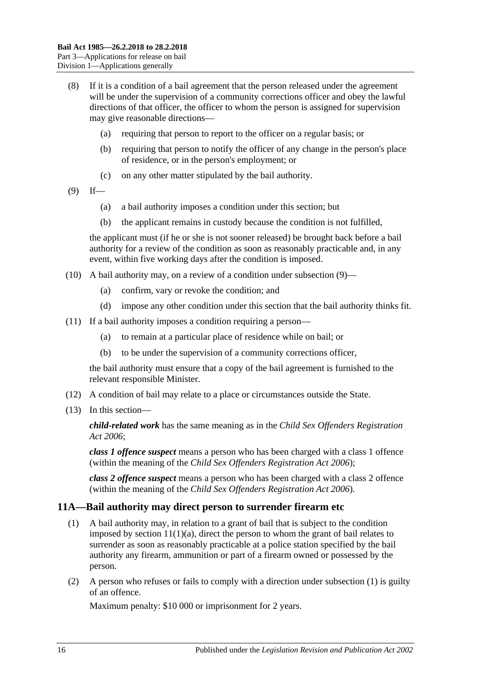- (8) If it is a condition of a bail agreement that the person released under the agreement will be under the supervision of a community corrections officer and obey the lawful directions of that officer, the officer to whom the person is assigned for supervision may give reasonable directions—
	- (a) requiring that person to report to the officer on a regular basis; or
	- (b) requiring that person to notify the officer of any change in the person's place of residence, or in the person's employment; or
	- (c) on any other matter stipulated by the bail authority.
- <span id="page-15-1"></span> $(9)$  If—
	- (a) a bail authority imposes a condition under this section; but
	- (b) the applicant remains in custody because the condition is not fulfilled,

the applicant must (if he or she is not sooner released) be brought back before a bail authority for a review of the condition as soon as reasonably practicable and, in any event, within five working days after the condition is imposed.

- (10) A bail authority may, on a review of a condition under [subsection](#page-15-1) (9)—
	- (a) confirm, vary or revoke the condition; and
	- (d) impose any other condition under this section that the bail authority thinks fit.
- (11) If a bail authority imposes a condition requiring a person—
	- (a) to remain at a particular place of residence while on bail; or
	- (b) to be under the supervision of a community corrections officer,

the bail authority must ensure that a copy of the bail agreement is furnished to the relevant responsible Minister.

- (12) A condition of bail may relate to a place or circumstances outside the State.
- (13) In this section—

*child-related work* has the same meaning as in the *[Child Sex Offenders Registration](http://www.legislation.sa.gov.au/index.aspx?action=legref&type=act&legtitle=Child%20Sex%20Offenders%20Registration%20Act%202006)  Act [2006](http://www.legislation.sa.gov.au/index.aspx?action=legref&type=act&legtitle=Child%20Sex%20Offenders%20Registration%20Act%202006)*;

*class 1 offence suspect* means a person who has been charged with a class 1 offence (within the meaning of the *[Child Sex Offenders Registration Act](http://www.legislation.sa.gov.au/index.aspx?action=legref&type=act&legtitle=Child%20Sex%20Offenders%20Registration%20Act%202006) 2006*);

*class 2 offence suspect* means a person who has been charged with a class 2 offence (within the meaning of the *[Child Sex Offenders Registration Act](http://www.legislation.sa.gov.au/index.aspx?action=legref&type=act&legtitle=Child%20Sex%20Offenders%20Registration%20Act%202006) 2006*).

#### <span id="page-15-2"></span><span id="page-15-0"></span>**11A—Bail authority may direct person to surrender firearm etc**

- (1) A bail authority may, in relation to a grant of bail that is subject to the condition imposed by section  $11(1)(a)$ , direct the person to whom the grant of bail relates to surrender as soon as reasonably practicable at a police station specified by the bail authority any firearm, ammunition or part of a firearm owned or possessed by the person.
- (2) A person who refuses or fails to comply with a direction under [subsection](#page-15-2) (1) is guilty of an offence.

Maximum penalty: \$10 000 or imprisonment for 2 years.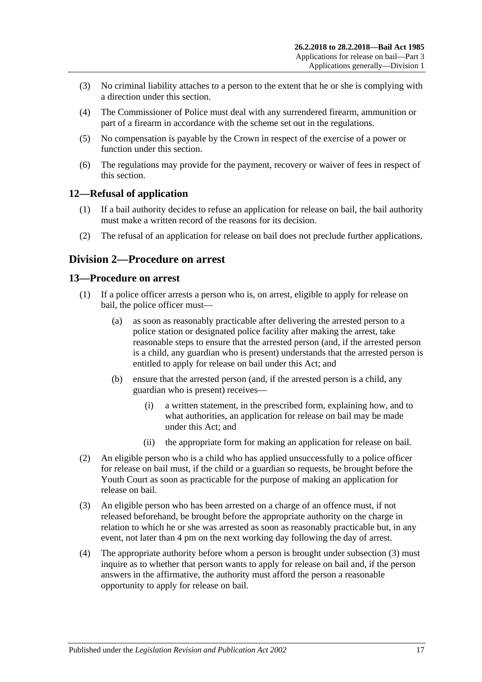- (3) No criminal liability attaches to a person to the extent that he or she is complying with a direction under this section.
- (4) The Commissioner of Police must deal with any surrendered firearm, ammunition or part of a firearm in accordance with the scheme set out in the regulations.
- (5) No compensation is payable by the Crown in respect of the exercise of a power or function under this section.
- (6) The regulations may provide for the payment, recovery or waiver of fees in respect of this section.

### <span id="page-16-0"></span>**12—Refusal of application**

- (1) If a bail authority decides to refuse an application for release on bail, the bail authority must make a written record of the reasons for its decision.
- (2) The refusal of an application for release on bail does not preclude further applications.

### <span id="page-16-1"></span>**Division 2—Procedure on arrest**

### <span id="page-16-2"></span>**13—Procedure on arrest**

- (1) If a police officer arrests a person who is, on arrest, eligible to apply for release on bail, the police officer must—
	- (a) as soon as reasonably practicable after delivering the arrested person to a police station or designated police facility after making the arrest, take reasonable steps to ensure that the arrested person (and, if the arrested person is a child, any guardian who is present) understands that the arrested person is entitled to apply for release on bail under this Act; and
	- (b) ensure that the arrested person (and, if the arrested person is a child, any guardian who is present) receives—
		- (i) a written statement, in the prescribed form, explaining how, and to what authorities, an application for release on bail may be made under this Act; and
		- (ii) the appropriate form for making an application for release on bail.
- (2) An eligible person who is a child who has applied unsuccessfully to a police officer for release on bail must, if the child or a guardian so requests, be brought before the Youth Court as soon as practicable for the purpose of making an application for release on bail.
- <span id="page-16-3"></span>(3) An eligible person who has been arrested on a charge of an offence must, if not released beforehand, be brought before the appropriate authority on the charge in relation to which he or she was arrested as soon as reasonably practicable but, in any event, not later than 4 pm on the next working day following the day of arrest.
- (4) The appropriate authority before whom a person is brought under [subsection](#page-16-3) (3) must inquire as to whether that person wants to apply for release on bail and, if the person answers in the affirmative, the authority must afford the person a reasonable opportunity to apply for release on bail.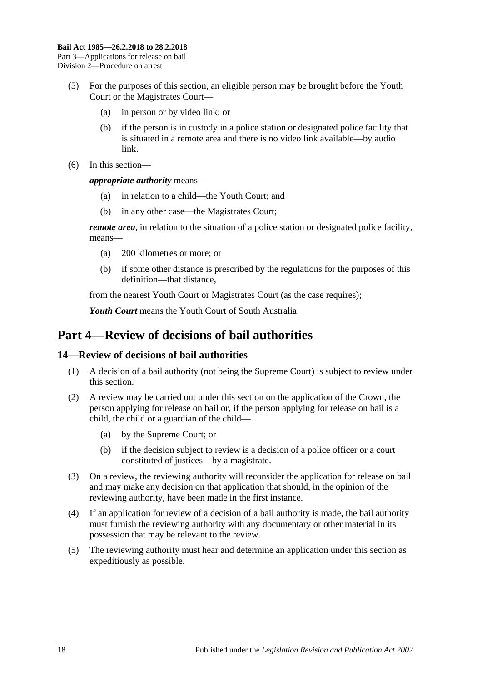- (5) For the purposes of this section, an eligible person may be brought before the Youth Court or the Magistrates Court—
	- (a) in person or by video link; or
	- (b) if the person is in custody in a police station or designated police facility that is situated in a remote area and there is no video link available—by audio link.
- (6) In this section—

*appropriate authority* means—

- (a) in relation to a child—the Youth Court; and
- (b) in any other case—the Magistrates Court;

*remote area*, in relation to the situation of a police station or designated police facility, means—

- (a) 200 kilometres or more; or
- (b) if some other distance is prescribed by the regulations for the purposes of this definition—that distance,

from the nearest Youth Court or Magistrates Court (as the case requires);

*Youth Court* means the Youth Court of South Australia.

## <span id="page-17-0"></span>**Part 4—Review of decisions of bail authorities**

#### <span id="page-17-1"></span>**14—Review of decisions of bail authorities**

- (1) A decision of a bail authority (not being the Supreme Court) is subject to review under this section.
- (2) A review may be carried out under this section on the application of the Crown, the person applying for release on bail or, if the person applying for release on bail is a child, the child or a guardian of the child—
	- (a) by the Supreme Court; or
	- (b) if the decision subject to review is a decision of a police officer or a court constituted of justices—by a magistrate.
- (3) On a review, the reviewing authority will reconsider the application for release on bail and may make any decision on that application that should, in the opinion of the reviewing authority, have been made in the first instance.
- (4) If an application for review of a decision of a bail authority is made, the bail authority must furnish the reviewing authority with any documentary or other material in its possession that may be relevant to the review.
- (5) The reviewing authority must hear and determine an application under this section as expeditiously as possible.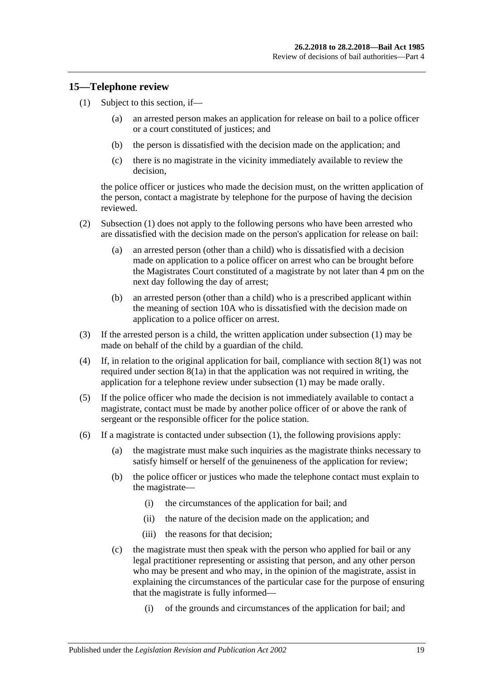### <span id="page-18-1"></span><span id="page-18-0"></span>**15—Telephone review**

- (1) Subject to this section, if—
	- (a) an arrested person makes an application for release on bail to a police officer or a court constituted of justices; and
	- (b) the person is dissatisfied with the decision made on the application; and
	- (c) there is no magistrate in the vicinity immediately available to review the decision,

the police officer or justices who made the decision must, on the written application of the person, contact a magistrate by telephone for the purpose of having the decision reviewed.

- (2) [Subsection](#page-18-1) (1) does not apply to the following persons who have been arrested who are dissatisfied with the decision made on the person's application for release on bail:
	- (a) an arrested person (other than a child) who is dissatisfied with a decision made on application to a police officer on arrest who can be brought before the Magistrates Court constituted of a magistrate by not later than 4 pm on the next day following the day of arrest;
	- (b) an arrested person (other than a child) who is a prescribed applicant within the meaning of [section](#page-10-0) 10A who is dissatisfied with the decision made on application to a police officer on arrest.
- (3) If the arrested person is a child, the written application under [subsection](#page-18-1) (1) may be made on behalf of the child by a guardian of the child.
- (4) If, in relation to the original application for bail, compliance with [section](#page-8-4) 8(1) was not required under [section](#page-8-3) 8(1a) in that the application was not required in writing, the application for a telephone review under [subsection](#page-18-1) (1) may be made orally.
- (5) If the police officer who made the decision is not immediately available to contact a magistrate, contact must be made by another police officer of or above the rank of sergeant or the responsible officer for the police station.
- (6) If a magistrate is contacted under [subsection](#page-18-1) (1), the following provisions apply:
	- (a) the magistrate must make such inquiries as the magistrate thinks necessary to satisfy himself or herself of the genuineness of the application for review;
	- (b) the police officer or justices who made the telephone contact must explain to the magistrate—
		- (i) the circumstances of the application for bail; and
		- (ii) the nature of the decision made on the application; and
		- (iii) the reasons for that decision;
	- (c) the magistrate must then speak with the person who applied for bail or any legal practitioner representing or assisting that person, and any other person who may be present and who may, in the opinion of the magistrate, assist in explaining the circumstances of the particular case for the purpose of ensuring that the magistrate is fully informed—
		- (i) of the grounds and circumstances of the application for bail; and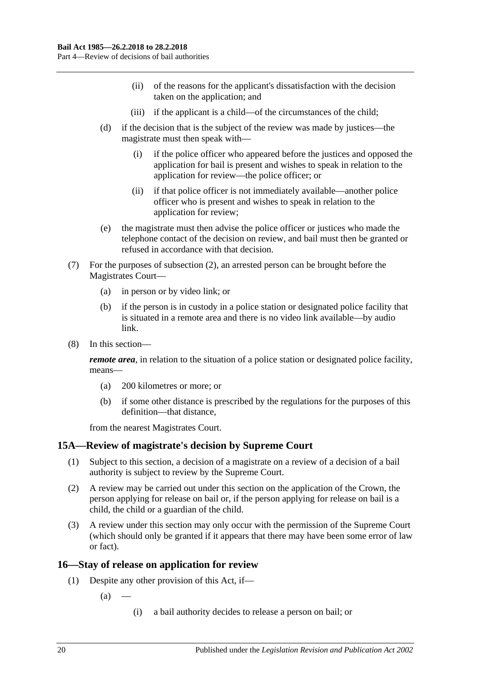- (ii) of the reasons for the applicant's dissatisfaction with the decision taken on the application; and
- (iii) if the applicant is a child—of the circumstances of the child;
- (d) if the decision that is the subject of the review was made by justices—the magistrate must then speak with—
	- (i) if the police officer who appeared before the justices and opposed the application for bail is present and wishes to speak in relation to the application for review—the police officer; or
	- (ii) if that police officer is not immediately available—another police officer who is present and wishes to speak in relation to the application for review;
- (e) the magistrate must then advise the police officer or justices who made the telephone contact of the decision on review, and bail must then be granted or refused in accordance with that decision.
- (7) For the purposes of subsection (2), an arrested person can be brought before the Magistrates Court—
	- (a) in person or by video link; or
	- (b) if the person is in custody in a police station or designated police facility that is situated in a remote area and there is no video link available—by audio link.
- (8) In this section—

*remote area*, in relation to the situation of a police station or designated police facility, means—

- (a) 200 kilometres or more; or
- (b) if some other distance is prescribed by the regulations for the purposes of this definition—that distance,

from the nearest Magistrates Court.

### <span id="page-19-0"></span>**15A—Review of magistrate's decision by Supreme Court**

- (1) Subject to this section, a decision of a magistrate on a review of a decision of a bail authority is subject to review by the Supreme Court.
- (2) A review may be carried out under this section on the application of the Crown, the person applying for release on bail or, if the person applying for release on bail is a child, the child or a guardian of the child.
- (3) A review under this section may only occur with the permission of the Supreme Court (which should only be granted if it appears that there may have been some error of law or fact).

### <span id="page-19-1"></span>**16—Stay of release on application for review**

- (1) Despite any other provision of this Act, if—
	- $(a)$ 
		- (i) a bail authority decides to release a person on bail; or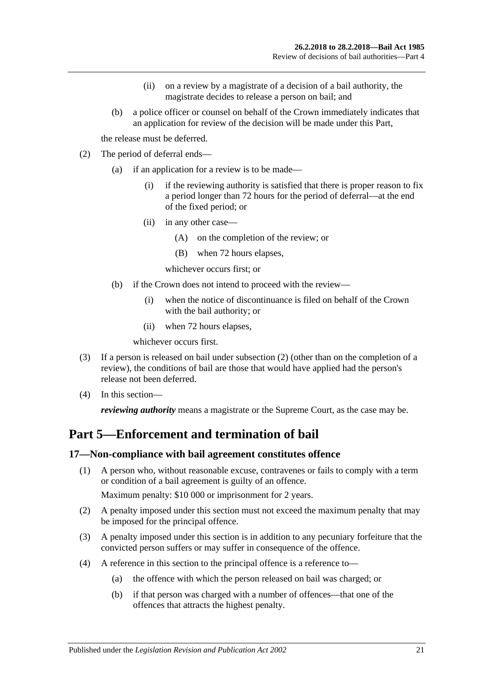- (ii) on a review by a magistrate of a decision of a bail authority, the magistrate decides to release a person on bail; and
- (b) a police officer or counsel on behalf of the Crown immediately indicates that an application for review of the decision will be made under this Part,

the release must be deferred.

- <span id="page-20-2"></span>(2) The period of deferral ends—
	- (a) if an application for a review is to be made—
		- (i) if the reviewing authority is satisfied that there is proper reason to fix a period longer than 72 hours for the period of deferral—at the end of the fixed period; or
		- (ii) in any other case—
			- (A) on the completion of the review; or
			- (B) when 72 hours elapses,

whichever occurs first; or

- (b) if the Crown does not intend to proceed with the review—
	- (i) when the notice of discontinuance is filed on behalf of the Crown with the bail authority; or
	- (ii) when 72 hours elapses,

whichever occurs first.

- (3) If a person is released on bail under [subsection](#page-20-2) (2) (other than on the completion of a review), the conditions of bail are those that would have applied had the person's release not been deferred.
- (4) In this section—

*reviewing authority* means a magistrate or the Supreme Court, as the case may be.

## <span id="page-20-0"></span>**Part 5—Enforcement and termination of bail**

#### <span id="page-20-1"></span>**17—Non-compliance with bail agreement constitutes offence**

(1) A person who, without reasonable excuse, contravenes or fails to comply with a term or condition of a bail agreement is guilty of an offence.

Maximum penalty: \$10 000 or imprisonment for 2 years.

- (2) A penalty imposed under this section must not exceed the maximum penalty that may be imposed for the principal offence.
- (3) A penalty imposed under this section is in addition to any pecuniary forfeiture that the convicted person suffers or may suffer in consequence of the offence.
- (4) A reference in this section to the principal offence is a reference to—
	- (a) the offence with which the person released on bail was charged; or
	- (b) if that person was charged with a number of offences—that one of the offences that attracts the highest penalty.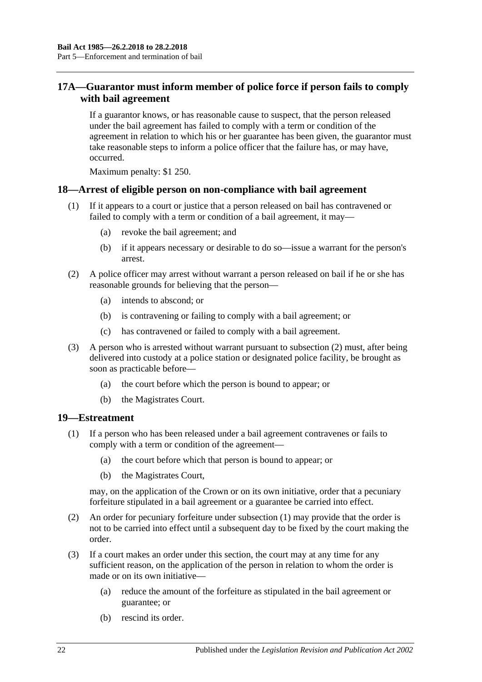### <span id="page-21-0"></span>**17A—Guarantor must inform member of police force if person fails to comply with bail agreement**

If a guarantor knows, or has reasonable cause to suspect, that the person released under the bail agreement has failed to comply with a term or condition of the agreement in relation to which his or her guarantee has been given, the guarantor must take reasonable steps to inform a police officer that the failure has, or may have, occurred.

Maximum penalty: \$1 250.

### <span id="page-21-1"></span>**18—Arrest of eligible person on non-compliance with bail agreement**

- (1) If it appears to a court or justice that a person released on bail has contravened or failed to comply with a term or condition of a bail agreement, it may—
	- (a) revoke the bail agreement; and
	- (b) if it appears necessary or desirable to do so—issue a warrant for the person's arrest.
- <span id="page-21-3"></span>(2) A police officer may arrest without warrant a person released on bail if he or she has reasonable grounds for believing that the person—
	- (a) intends to abscond; or
	- (b) is contravening or failing to comply with a bail agreement; or
	- (c) has contravened or failed to comply with a bail agreement.
- (3) A person who is arrested without warrant pursuant to [subsection](#page-21-3) (2) must, after being delivered into custody at a police station or designated police facility, be brought as soon as practicable before—
	- (a) the court before which the person is bound to appear; or
	- (b) the Magistrates Court.

#### <span id="page-21-4"></span><span id="page-21-2"></span>**19—Estreatment**

- (1) If a person who has been released under a bail agreement contravenes or fails to comply with a term or condition of the agreement—
	- (a) the court before which that person is bound to appear; or
	- (b) the Magistrates Court,

may, on the application of the Crown or on its own initiative, order that a pecuniary forfeiture stipulated in a bail agreement or a guarantee be carried into effect.

- (2) An order for pecuniary forfeiture under [subsection](#page-21-4) (1) may provide that the order is not to be carried into effect until a subsequent day to be fixed by the court making the order.
- (3) If a court makes an order under this section, the court may at any time for any sufficient reason, on the application of the person in relation to whom the order is made or on its own initiative—
	- (a) reduce the amount of the forfeiture as stipulated in the bail agreement or guarantee; or
	- (b) rescind its order.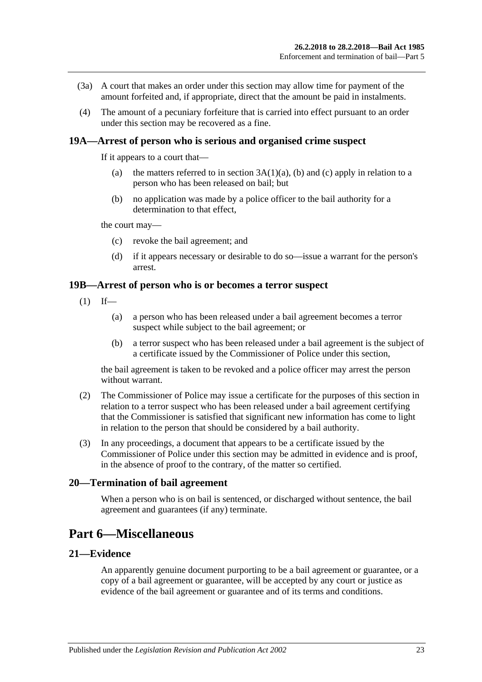- (3a) A court that makes an order under this section may allow time for payment of the amount forfeited and, if appropriate, direct that the amount be paid in instalments.
- (4) The amount of a pecuniary forfeiture that is carried into effect pursuant to an order under this section may be recovered as a fine.

#### <span id="page-22-0"></span>**19A—Arrest of person who is serious and organised crime suspect**

If it appears to a court that—

- (a) the matters referred to in section  $3A(1)(a)$ , [\(b\)](#page-3-3) and [\(c\)](#page-3-4) apply in relation to a person who has been released on bail; but
- (b) no application was made by a police officer to the bail authority for a determination to that effect,

the court may—

- (c) revoke the bail agreement; and
- (d) if it appears necessary or desirable to do so—issue a warrant for the person's arrest.

#### <span id="page-22-1"></span>**19B—Arrest of person who is or becomes a terror suspect**

- $(1)$  If—
	- (a) a person who has been released under a bail agreement becomes a terror suspect while subject to the bail agreement; or
	- (b) a terror suspect who has been released under a bail agreement is the subject of a certificate issued by the Commissioner of Police under this section,

the bail agreement is taken to be revoked and a police officer may arrest the person without warrant.

- (2) The Commissioner of Police may issue a certificate for the purposes of this section in relation to a terror suspect who has been released under a bail agreement certifying that the Commissioner is satisfied that significant new information has come to light in relation to the person that should be considered by a bail authority.
- (3) In any proceedings, a document that appears to be a certificate issued by the Commissioner of Police under this section may be admitted in evidence and is proof, in the absence of proof to the contrary, of the matter so certified.

### <span id="page-22-2"></span>**20—Termination of bail agreement**

When a person who is on bail is sentenced, or discharged without sentence, the bail agreement and guarantees (if any) terminate.

## <span id="page-22-3"></span>**Part 6—Miscellaneous**

### <span id="page-22-4"></span>**21—Evidence**

An apparently genuine document purporting to be a bail agreement or guarantee, or a copy of a bail agreement or guarantee, will be accepted by any court or justice as evidence of the bail agreement or guarantee and of its terms and conditions.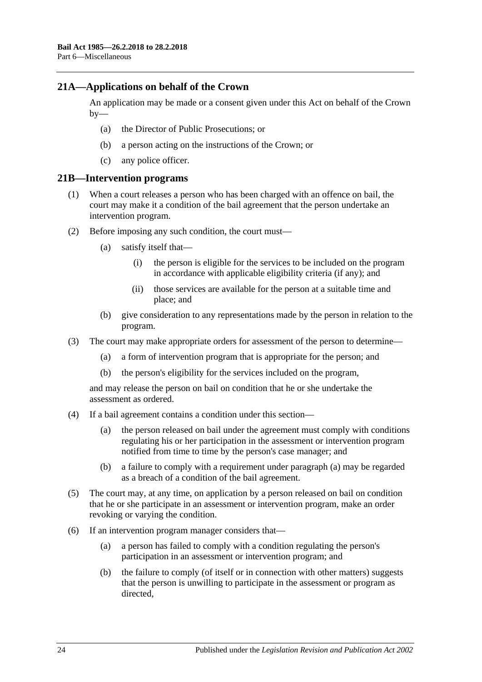### <span id="page-23-0"></span>**21A—Applications on behalf of the Crown**

An application may be made or a consent given under this Act on behalf of the Crown  $by-$ 

- (a) the Director of Public Prosecutions; or
- (b) a person acting on the instructions of the Crown; or
- (c) any police officer.

#### <span id="page-23-1"></span>**21B—Intervention programs**

- (1) When a court releases a person who has been charged with an offence on bail, the court may make it a condition of the bail agreement that the person undertake an intervention program.
- (2) Before imposing any such condition, the court must—
	- (a) satisfy itself that—
		- (i) the person is eligible for the services to be included on the program in accordance with applicable eligibility criteria (if any); and
		- (ii) those services are available for the person at a suitable time and place; and
	- (b) give consideration to any representations made by the person in relation to the program.
- (3) The court may make appropriate orders for assessment of the person to determine—
	- (a) a form of intervention program that is appropriate for the person; and
	- (b) the person's eligibility for the services included on the program,

and may release the person on bail on condition that he or she undertake the assessment as ordered.

- <span id="page-23-2"></span>(4) If a bail agreement contains a condition under this section—
	- (a) the person released on bail under the agreement must comply with conditions regulating his or her participation in the assessment or intervention program notified from time to time by the person's case manager; and
	- (b) a failure to comply with a requirement under [paragraph](#page-23-2) (a) may be regarded as a breach of a condition of the bail agreement.
- (5) The court may, at any time, on application by a person released on bail on condition that he or she participate in an assessment or intervention program, make an order revoking or varying the condition.
- (6) If an intervention program manager considers that—
	- (a) a person has failed to comply with a condition regulating the person's participation in an assessment or intervention program; and
	- (b) the failure to comply (of itself or in connection with other matters) suggests that the person is unwilling to participate in the assessment or program as directed,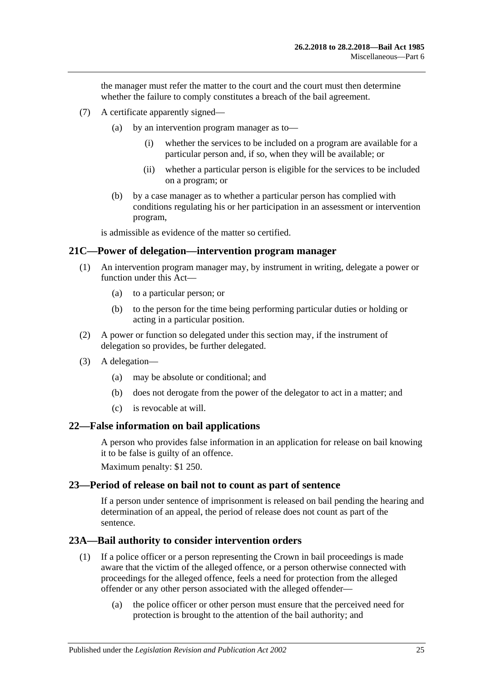the manager must refer the matter to the court and the court must then determine whether the failure to comply constitutes a breach of the bail agreement.

- (7) A certificate apparently signed—
	- (a) by an intervention program manager as to—
		- (i) whether the services to be included on a program are available for a particular person and, if so, when they will be available; or
		- (ii) whether a particular person is eligible for the services to be included on a program; or
	- (b) by a case manager as to whether a particular person has complied with conditions regulating his or her participation in an assessment or intervention program,

is admissible as evidence of the matter so certified.

#### <span id="page-24-0"></span>**21C—Power of delegation—intervention program manager**

- (1) An intervention program manager may, by instrument in writing, delegate a power or function under this Act—
	- (a) to a particular person; or
	- (b) to the person for the time being performing particular duties or holding or acting in a particular position.
- (2) A power or function so delegated under this section may, if the instrument of delegation so provides, be further delegated.
- (3) A delegation—
	- (a) may be absolute or conditional; and
	- (b) does not derogate from the power of the delegator to act in a matter; and
	- (c) is revocable at will.

#### <span id="page-24-1"></span>**22—False information on bail applications**

A person who provides false information in an application for release on bail knowing it to be false is guilty of an offence.

Maximum penalty: \$1 250.

#### <span id="page-24-2"></span>**23—Period of release on bail not to count as part of sentence**

If a person under sentence of imprisonment is released on bail pending the hearing and determination of an appeal, the period of release does not count as part of the sentence.

#### <span id="page-24-3"></span>**23A—Bail authority to consider intervention orders**

- (1) If a police officer or a person representing the Crown in bail proceedings is made aware that the victim of the alleged offence, or a person otherwise connected with proceedings for the alleged offence, feels a need for protection from the alleged offender or any other person associated with the alleged offender—
	- (a) the police officer or other person must ensure that the perceived need for protection is brought to the attention of the bail authority; and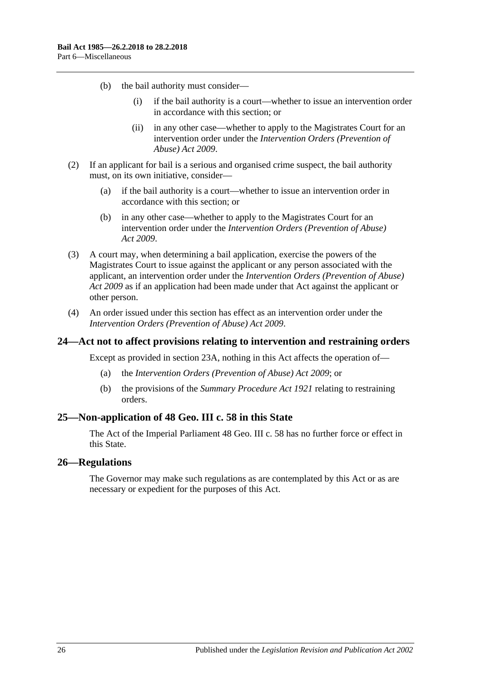- (b) the bail authority must consider—
	- (i) if the bail authority is a court—whether to issue an intervention order in accordance with this section; or
	- (ii) in any other case—whether to apply to the Magistrates Court for an intervention order under the *[Intervention Orders \(Prevention of](http://www.legislation.sa.gov.au/index.aspx?action=legref&type=act&legtitle=Intervention%20Orders%20(Prevention%20of%20Abuse)%20Act%202009)  [Abuse\) Act](http://www.legislation.sa.gov.au/index.aspx?action=legref&type=act&legtitle=Intervention%20Orders%20(Prevention%20of%20Abuse)%20Act%202009) 2009*.
- (2) If an applicant for bail is a serious and organised crime suspect, the bail authority must, on its own initiative, consider—
	- (a) if the bail authority is a court—whether to issue an intervention order in accordance with this section; or
	- (b) in any other case—whether to apply to the Magistrates Court for an intervention order under the *[Intervention Orders \(Prevention of Abuse\)](http://www.legislation.sa.gov.au/index.aspx?action=legref&type=act&legtitle=Intervention%20Orders%20(Prevention%20of%20Abuse)%20Act%202009)  Act [2009](http://www.legislation.sa.gov.au/index.aspx?action=legref&type=act&legtitle=Intervention%20Orders%20(Prevention%20of%20Abuse)%20Act%202009)*.
- (3) A court may, when determining a bail application, exercise the powers of the Magistrates Court to issue against the applicant or any person associated with the applicant, an intervention order under the *[Intervention Orders \(Prevention of Abuse\)](http://www.legislation.sa.gov.au/index.aspx?action=legref&type=act&legtitle=Intervention%20Orders%20(Prevention%20of%20Abuse)%20Act%202009)  Act [2009](http://www.legislation.sa.gov.au/index.aspx?action=legref&type=act&legtitle=Intervention%20Orders%20(Prevention%20of%20Abuse)%20Act%202009)* as if an application had been made under that Act against the applicant or other person.
- (4) An order issued under this section has effect as an intervention order under the *[Intervention Orders \(Prevention of Abuse\) Act](http://www.legislation.sa.gov.au/index.aspx?action=legref&type=act&legtitle=Intervention%20Orders%20(Prevention%20of%20Abuse)%20Act%202009) 2009*.

#### <span id="page-25-0"></span>**24—Act not to affect provisions relating to intervention and restraining orders**

Except as provided in [section](#page-24-3) 23A, nothing in this Act affects the operation of—

- (a) the *[Intervention Orders \(Prevention of Abuse\) Act](http://www.legislation.sa.gov.au/index.aspx?action=legref&type=act&legtitle=Intervention%20Orders%20(Prevention%20of%20Abuse)%20Act%202009) 2009*; or
- (b) the provisions of the *[Summary Procedure Act](http://www.legislation.sa.gov.au/index.aspx?action=legref&type=act&legtitle=Summary%20Procedure%20Act%201921) 1921* relating to restraining orders.

### <span id="page-25-1"></span>**25—Non-application of 48 Geo. III c. 58 in this State**

The Act of the Imperial Parliament 48 Geo. III c. 58 has no further force or effect in this State.

#### <span id="page-25-2"></span>**26—Regulations**

The Governor may make such regulations as are contemplated by this Act or as are necessary or expedient for the purposes of this Act.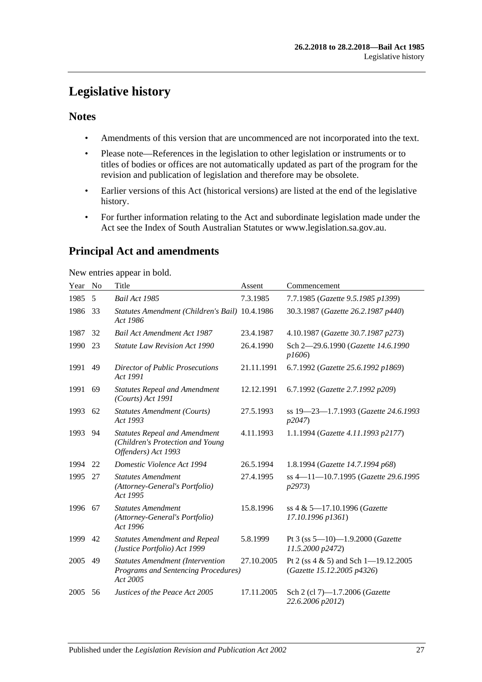## <span id="page-26-0"></span>**Legislative history**

### **Notes**

- Amendments of this version that are uncommenced are not incorporated into the text.
- Please note—References in the legislation to other legislation or instruments or to titles of bodies or offices are not automatically updated as part of the program for the revision and publication of legislation and therefore may be obsolete.
- Earlier versions of this Act (historical versions) are listed at the end of the legislative history.
- For further information relating to the Act and subordinate legislation made under the Act see the Index of South Australian Statutes or www.legislation.sa.gov.au.

## **Principal Act and amendments**

New entries appear in bold.

| Year | No | Title                                                                                           | Assent     | Commencement                                                           |
|------|----|-------------------------------------------------------------------------------------------------|------------|------------------------------------------------------------------------|
| 1985 | 5  | Bail Act 1985                                                                                   | 7.3.1985   | 7.7.1985 (Gazette 9.5.1985 p1399)                                      |
| 1986 | 33 | Statutes Amendment (Children's Bail) 10.4.1986<br>Act 1986                                      |            | 30.3.1987 (Gazette 26.2.1987 p440)                                     |
| 1987 | 32 | <b>Bail Act Amendment Act 1987</b>                                                              | 23.4.1987  | 4.10.1987 (Gazette 30.7.1987 p273)                                     |
| 1990 | 23 | <b>Statute Law Revision Act 1990</b>                                                            | 26.4.1990  | Sch 2-29.6.1990 (Gazette 14.6.1990<br>p1606                            |
| 1991 | 49 | <b>Director of Public Prosecutions</b><br>Act 1991                                              | 21.11.1991 | 6.7.1992 (Gazette 25.6.1992 p1869)                                     |
| 1991 | 69 | <b>Statutes Repeal and Amendment</b><br>(Courts) Act 1991                                       | 12.12.1991 | 6.7.1992 (Gazette 2.7.1992 p209)                                       |
| 1993 | 62 | <b>Statutes Amendment (Courts)</b><br>Act 1993                                                  | 27.5.1993  | ss 19-23-1.7.1993 (Gazette 24.6.1993<br>p2047                          |
| 1993 | 94 | <b>Statutes Repeal and Amendment</b><br>(Children's Protection and Young<br>Offenders) Act 1993 | 4.11.1993  | 1.1.1994 (Gazette 4.11.1993 p2177)                                     |
| 1994 | 22 | Domestic Violence Act 1994                                                                      | 26.5.1994  | 1.8.1994 (Gazette 14.7.1994 p68)                                       |
| 1995 | 27 | <b>Statutes Amendment</b><br>(Attorney-General's Portfolio)<br>Act 1995                         | 27.4.1995  | ss 4-11-10.7.1995 (Gazette 29.6.1995<br>p2973                          |
| 1996 | 67 | <b>Statutes Amendment</b><br>(Attorney-General's Portfolio)<br>Act 1996                         | 15.8.1996  | ss 4 & 5-17.10.1996 (Gazette<br>17.10.1996 p1361)                      |
| 1999 | 42 | <b>Statutes Amendment and Repeal</b><br>(Justice Portfolio) Act 1999                            | 5.8.1999   | Pt 3 (ss $5-10$ )-1.9.2000 (Gazette<br>11.5.2000 p2472)                |
| 2005 | 49 | <b>Statutes Amendment (Intervention</b><br>Programs and Sentencing Procedures)<br>Act 2005      | 27.10.2005 | Pt 2 (ss $4 \& 5$ ) and Sch 1-19.12.2005<br>(Gazette 15.12.2005 p4326) |
| 2005 | 56 | Justices of the Peace Act 2005                                                                  | 17.11.2005 | Sch 2 (cl 7)-1.7.2006 (Gazette<br>22.6.2006 p2012)                     |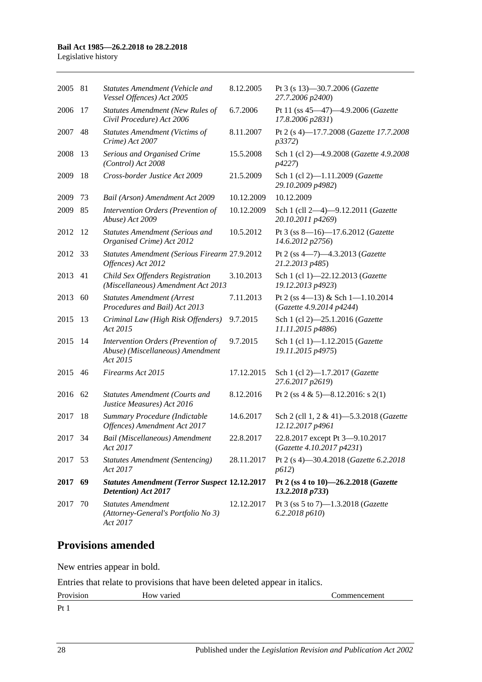#### **Bail Act 1985—26.2.2018 to 28.2.2018**

Legislative history

| 2005 | 81 | Statutes Amendment (Vehicle and<br>Vessel Offences) Act 2005                       | 8.12.2005  | Pt 3 (s 13)-30.7.2006 (Gazette<br>27.7.2006 p2400)           |
|------|----|------------------------------------------------------------------------------------|------------|--------------------------------------------------------------|
| 2006 | 17 | <b>Statutes Amendment (New Rules of</b><br>Civil Procedure) Act 2006               | 6.7.2006   | Pt 11 (ss 45-47)-4.9.2006 (Gazette<br>17.8.2006 p2831)       |
| 2007 | 48 | <b>Statutes Amendment (Victims of</b><br>Crime) Act 2007                           | 8.11.2007  | Pt 2 (s 4)-17.7.2008 (Gazette 17.7.2008<br>p3372)            |
| 2008 | 13 | Serious and Organised Crime<br>(Control) Act 2008                                  | 15.5.2008  | Sch 1 (cl 2)-4.9.2008 (Gazette 4.9.2008)<br>p4227)           |
| 2009 | 18 | Cross-border Justice Act 2009                                                      | 21.5.2009  | Sch 1 (cl 2)-1.11.2009 (Gazette<br>29.10.2009 p4982)         |
| 2009 | 73 | Bail (Arson) Amendment Act 2009                                                    | 10.12.2009 | 10.12.2009                                                   |
| 2009 | 85 | Intervention Orders (Prevention of<br>Abuse) Act 2009                              | 10.12.2009 | Sch 1 (cll 2-4)-9.12.2011 (Gazette<br>20.10.2011 p4269)      |
| 2012 | 12 | <b>Statutes Amendment (Serious and</b><br>Organised Crime) Act 2012                | 10.5.2012  | Pt 3 (ss 8-16)-17.6.2012 (Gazette<br>14.6.2012 p2756)        |
| 2012 | 33 | Statutes Amendment (Serious Firearm 27.9.2012<br>Offences) Act 2012                |            | Pt 2 (ss 4-7)-4.3.2013 (Gazette<br>21.2.2013 p485)           |
| 2013 | 41 | Child Sex Offenders Registration<br>(Miscellaneous) Amendment Act 2013             | 3.10.2013  | Sch 1 (cl 1)-22.12.2013 (Gazette<br>19.12.2013 p4923)        |
| 2013 | 60 | <b>Statutes Amendment (Arrest</b><br>Procedures and Bail) Act 2013                 | 7.11.2013  | Pt 2 (ss 4-13) & Sch 1-1.10.2014<br>(Gazette 4.9.2014 p4244) |
| 2015 | 13 | Criminal Law (High Risk Offenders)<br>Act 2015                                     | 9.7.2015   | Sch 1 (cl 2)-25.1.2016 (Gazette<br>11.11.2015 p4886)         |
| 2015 | 14 | Intervention Orders (Prevention of<br>Abuse) (Miscellaneous) Amendment<br>Act 2015 | 9.7.2015   | Sch 1 (cl 1)-1.12.2015 (Gazette<br>19.11.2015 p4975)         |
| 2015 | 46 | Firearms Act 2015                                                                  | 17.12.2015 | Sch 1 (cl 2)-1.7.2017 (Gazette<br>27.6.2017 p2619)           |
| 2016 | 62 | <b>Statutes Amendment (Courts and</b><br>Justice Measures) Act 2016                | 8.12.2016  | Pt 2 (ss 4 & 5)—8.12.2016: s 2(1)                            |
| 2017 | 18 | Summary Procedure (Indictable<br>Offences) Amendment Act 2017                      | 14.6.2017  | Sch 2 (cll 1, 2 & 41)-5.3.2018 (Gazette<br>12.12.2017 p4961  |
| 2017 | 34 | Bail (Miscellaneous) Amendment<br>Act 2017                                         | 22.8.2017  | 22.8.2017 except Pt 3-9.10.2017<br>(Gazette 4.10.2017 p4231) |
| 2017 | 53 | <b>Statutes Amendment (Sentencing)</b><br>Act 2017                                 | 28.11.2017 | Pt 2 (s 4)-30.4.2018 (Gazette 6.2.2018<br>p612)              |
| 2017 | 69 | <b>Statutes Amendment (Terror Suspect 12.12.2017</b><br>Detention) Act 2017        |            | Pt 2 (ss 4 to 10)-26.2.2018 (Gazette<br>13.2.2018 p733)      |
| 2017 | 70 | <b>Statutes Amendment</b><br>(Attorney-General's Portfolio No 3)<br>Act 2017       | 12.12.2017 | Pt 3 (ss 5 to 7)-1.3.2018 (Gazette<br>6.2.2018 p610)         |

## **Provisions amended**

New entries appear in bold.

Entries that relate to provisions that have been deleted appear in italics.

| $Pr_0$<br>191011<br>11 U | varie<br>$\cdots$<br>אוו<br>ПU. | ешеш<br>. |
|--------------------------|---------------------------------|-----------|
| $\mathbf{D}$             |                                 |           |

Pt 1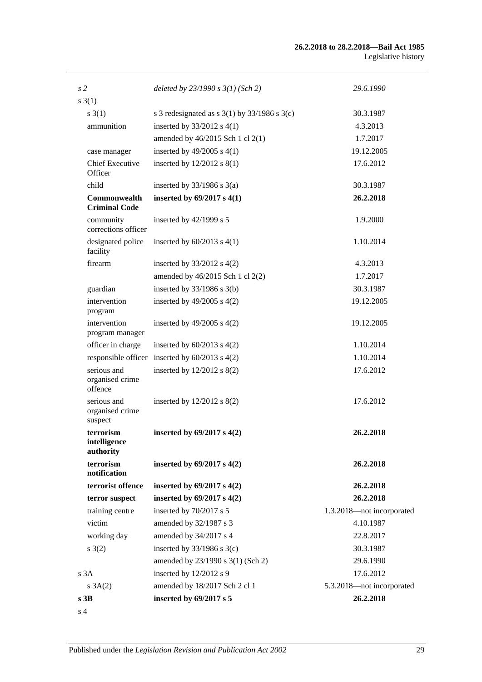#### **26.2.2018 to 28.2.2018—Bail Act 1985** Legislative history

| s <sub>2</sub>                              | deleted by $23/1990 s 3(1)$ (Sch 2)                | 29.6.1990                 |
|---------------------------------------------|----------------------------------------------------|---------------------------|
| $s \; 3(1)$                                 |                                                    |                           |
| s(3(1))                                     | s 3 redesignated as s $3(1)$ by $33/1986$ s $3(c)$ | 30.3.1987                 |
| ammunition                                  | inserted by 33/2012 s 4(1)                         | 4.3.2013                  |
|                                             | amended by 46/2015 Sch 1 cl 2(1)                   | 1.7.2017                  |
| case manager                                | inserted by $49/2005$ s $4(1)$                     | 19.12.2005                |
| <b>Chief Executive</b><br>Officer           | inserted by $12/2012$ s $8(1)$                     | 17.6.2012                 |
| child                                       | inserted by $33/1986$ s $3(a)$                     | 30.3.1987                 |
| <b>Commonwealth</b><br><b>Criminal Code</b> | inserted by $69/2017$ s $4(1)$                     | 26.2.2018                 |
| community<br>corrections officer            | inserted by $42/1999$ s 5                          | 1.9.2000                  |
| designated police<br>facility               | inserted by $60/2013$ s $4(1)$                     | 1.10.2014                 |
| firearm                                     | inserted by $33/2012$ s $4(2)$                     | 4.3.2013                  |
|                                             | amended by 46/2015 Sch 1 cl 2(2)                   | 1.7.2017                  |
| guardian                                    | inserted by $33/1986$ s $3(b)$                     | 30.3.1987                 |
| intervention<br>program                     | inserted by $49/2005$ s $4(2)$                     | 19.12.2005                |
| intervention<br>program manager             | inserted by $49/2005$ s $4(2)$                     | 19.12.2005                |
| officer in charge                           | inserted by $60/2013$ s $4(2)$                     | 1.10.2014                 |
|                                             | responsible officer inserted by $60/2013$ s $4(2)$ | 1.10.2014                 |
| serious and<br>organised crime<br>offence   | inserted by 12/2012 s 8(2)                         | 17.6.2012                 |
| serious and<br>organised crime<br>suspect   | inserted by $12/2012$ s $8(2)$                     | 17.6.2012                 |
| terrorism<br>intelligence<br>authority      | inserted by $69/2017$ s $4(2)$                     | 26.2.2018                 |
| terrorism<br>notification                   | inserted by $69/2017$ s $4(2)$                     | 26.2.2018                 |
| terrorist offence                           | inserted by $69/2017$ s $4(2)$                     | 26.2.2018                 |
| terror suspect                              | inserted by $69/2017$ s $4(2)$                     | 26.2.2018                 |
| training centre                             | inserted by 70/2017 s 5                            | 1.3.2018-not incorporated |
| victim                                      | amended by 32/1987 s 3                             | 4.10.1987                 |
| working day                                 | amended by 34/2017 s 4                             | 22.8.2017                 |
| $s \; 3(2)$                                 | inserted by $33/1986$ s $3(c)$                     | 30.3.1987                 |
|                                             | amended by 23/1990 s 3(1) (Sch 2)                  | 29.6.1990                 |
| s3A                                         | inserted by 12/2012 s 9                            | 17.6.2012                 |
| $s \; 3A(2)$                                | amended by 18/2017 Sch 2 cl 1                      | 5.3.2018-not incorporated |
| s3B                                         | inserted by 69/2017 s 5                            | 26.2.2018                 |
| s <sub>4</sub>                              |                                                    |                           |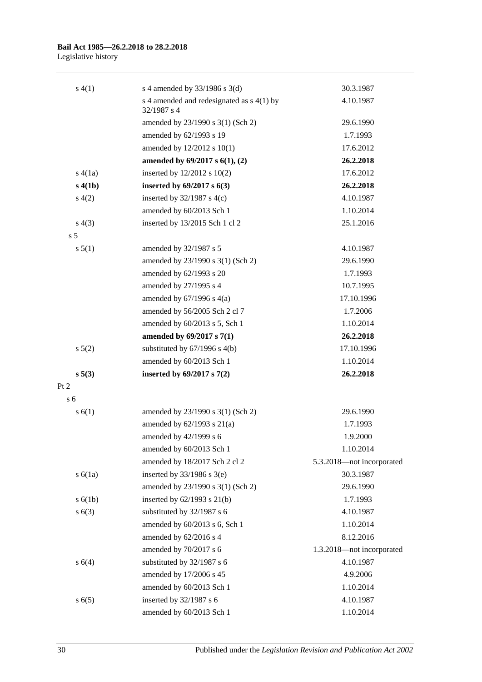#### **Bail Act 1985—26.2.2018 to 28.2.2018** Legislative history

| s(4(1))        | s 4 amended by $33/1986$ s $3(d)$                          | 30.3.1987                 |
|----------------|------------------------------------------------------------|---------------------------|
|                | s 4 amended and redesignated as $s$ 4(1) by<br>32/1987 s 4 | 4.10.1987                 |
|                | amended by 23/1990 s 3(1) (Sch 2)                          | 29.6.1990                 |
|                | amended by 62/1993 s 19                                    | 1.7.1993                  |
|                | amended by 12/2012 s 10(1)                                 | 17.6.2012                 |
|                | amended by $69/2017$ s $6(1)$ , (2)                        | 26.2.2018                 |
| s(4(a))        | inserted by 12/2012 s 10(2)                                | 17.6.2012                 |
| s(4(1b))       | inserted by $69/2017$ s $6(3)$                             | 26.2.2018                 |
| s(4(2)         | inserted by $32/1987$ s 4(c)                               | 4.10.1987                 |
|                | amended by 60/2013 Sch 1                                   | 1.10.2014                 |
| s(4(3))        | inserted by 13/2015 Sch 1 cl 2                             | 25.1.2016                 |
| s <sub>5</sub> |                                                            |                           |
| s 5(1)         | amended by 32/1987 s 5                                     | 4.10.1987                 |
|                | amended by 23/1990 s 3(1) (Sch 2)                          | 29.6.1990                 |
|                | amended by 62/1993 s 20                                    | 1.7.1993                  |
|                | amended by 27/1995 s 4                                     | 10.7.1995                 |
|                | amended by $67/1996$ s $4(a)$                              | 17.10.1996                |
|                | amended by 56/2005 Sch 2 cl 7                              | 1.7.2006                  |
|                | amended by 60/2013 s 5, Sch 1                              | 1.10.2014                 |
|                | amended by 69/2017 s 7(1)                                  | 26.2.2018                 |
| $s\ 5(2)$      | substituted by $67/1996$ s $4(b)$                          | 17.10.1996                |
|                | amended by 60/2013 Sch 1                                   | 1.10.2014                 |
| $s\,5(3)$      | inserted by $69/2017$ s $7(2)$                             | 26.2.2018                 |
| Pt 2           |                                                            |                           |
| s <sub>6</sub> |                                                            |                           |
| s(6(1))        | amended by 23/1990 s 3(1) (Sch 2)                          | 29.6.1990                 |
|                | amended by $62/1993$ s $21(a)$                             | 1.7.1993                  |
|                | amended by 42/1999 s 6                                     | 1.9.2000                  |
|                | amended by 60/2013 Sch 1                                   | 1.10.2014                 |
|                | amended by 18/2017 Sch 2 cl 2                              | 5.3.2018-not incorporated |
| s(6(1a))       | inserted by $33/1986$ s $3(e)$                             | 30.3.1987                 |
|                | amended by 23/1990 s 3(1) (Sch 2)                          | 29.6.1990                 |
| s(6(1b))       | inserted by 62/1993 s 21(b)                                | 1.7.1993                  |
| s(6(3))        | substituted by 32/1987 s 6                                 | 4.10.1987                 |
|                | amended by 60/2013 s 6, Sch 1                              | 1.10.2014                 |
|                | amended by 62/2016 s 4                                     | 8.12.2016                 |
|                | amended by 70/2017 s 6                                     | 1.3.2018-not incorporated |
| s 6(4)         | substituted by 32/1987 s 6                                 | 4.10.1987                 |
|                | amended by 17/2006 s 45                                    | 4.9.2006                  |
|                | amended by 60/2013 Sch 1                                   | 1.10.2014                 |
| s(6(5)         | inserted by 32/1987 s 6                                    | 4.10.1987                 |
|                | amended by 60/2013 Sch 1                                   | 1.10.2014                 |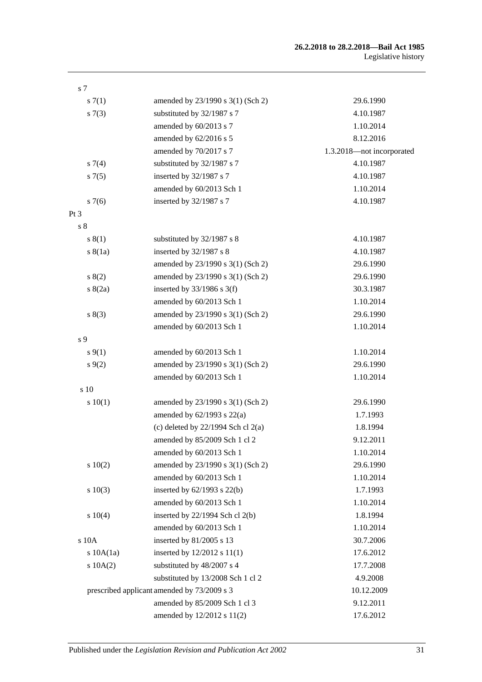#### **26.2.2018 to 28.2.2018—Bail Act 1985** Legislative history

| s <sub>7</sub> |                                             |                           |
|----------------|---------------------------------------------|---------------------------|
| s(7(1))        | amended by 23/1990 s 3(1) (Sch 2)           | 29.6.1990                 |
| s(7(3))        | substituted by 32/1987 s 7                  | 4.10.1987                 |
|                | amended by 60/2013 s 7                      | 1.10.2014                 |
|                | amended by 62/2016 s 5                      | 8.12.2016                 |
|                | amended by 70/2017 s 7                      | 1.3.2018-not incorporated |
| s(7(4)         | substituted by 32/1987 s 7                  | 4.10.1987                 |
| s7(5)          | inserted by 32/1987 s 7                     | 4.10.1987                 |
|                | amended by 60/2013 Sch 1                    | 1.10.2014                 |
| s7(6)          | inserted by 32/1987 s 7                     | 4.10.1987                 |
| Pt 3           |                                             |                           |
| s <sub>8</sub> |                                             |                           |
| s(1)           | substituted by 32/1987 s 8                  | 4.10.1987                 |
| s(8(1a))       | inserted by 32/1987 s 8                     | 4.10.1987                 |
|                | amended by 23/1990 s 3(1) (Sch 2)           | 29.6.1990                 |
| s(2)           | amended by 23/1990 s 3(1) (Sch 2)           | 29.6.1990                 |
| s(2a)          | inserted by $33/1986$ s 3(f)                | 30.3.1987                 |
|                | amended by 60/2013 Sch 1                    | 1.10.2014                 |
| s(3)           | amended by 23/1990 s 3(1) (Sch 2)           | 29.6.1990                 |
|                | amended by 60/2013 Sch 1                    | 1.10.2014                 |
| s <sub>9</sub> |                                             |                           |
| $s \, 9(1)$    | amended by 60/2013 Sch 1                    | 1.10.2014                 |
| $s \, 9(2)$    | amended by 23/1990 s 3(1) (Sch 2)           | 29.6.1990                 |
|                | amended by 60/2013 Sch 1                    | 1.10.2014                 |
| s 10           |                                             |                           |
| 10(1)          | amended by 23/1990 s 3(1) (Sch 2)           | 29.6.1990                 |
|                | amended by $62/1993$ s $22(a)$              | 1.7.1993                  |
|                | (c) deleted by $22/1994$ Sch cl $2(a)$      | 1.8.1994                  |
|                | amended by 85/2009 Sch 1 cl 2               | 9.12.2011                 |
|                | amended by 60/2013 Sch 1                    | 1.10.2014                 |
| 10(2)          | amended by 23/1990 s 3(1) (Sch 2)           | 29.6.1990                 |
|                | amended by 60/2013 Sch 1                    | 1.10.2014                 |
| s 10(3)        | inserted by $62/1993$ s $22(b)$             | 1.7.1993                  |
|                | amended by 60/2013 Sch 1                    | 1.10.2014                 |
| s 10(4)        | inserted by 22/1994 Sch cl 2(b)             | 1.8.1994                  |
|                | amended by 60/2013 Sch 1                    | 1.10.2014                 |
| s 10A          | inserted by 81/2005 s 13                    | 30.7.2006                 |
| $s$ 10A $(1a)$ | inserted by $12/2012$ s $11(1)$             | 17.6.2012                 |
| $s$ 10A $(2)$  | substituted by 48/2007 s 4                  | 17.7.2008                 |
|                | substituted by 13/2008 Sch 1 cl 2           | 4.9.2008                  |
|                | prescribed applicant amended by 73/2009 s 3 | 10.12.2009                |
|                | amended by 85/2009 Sch 1 cl 3               | 9.12.2011                 |
|                | amended by 12/2012 s 11(2)                  | 17.6.2012                 |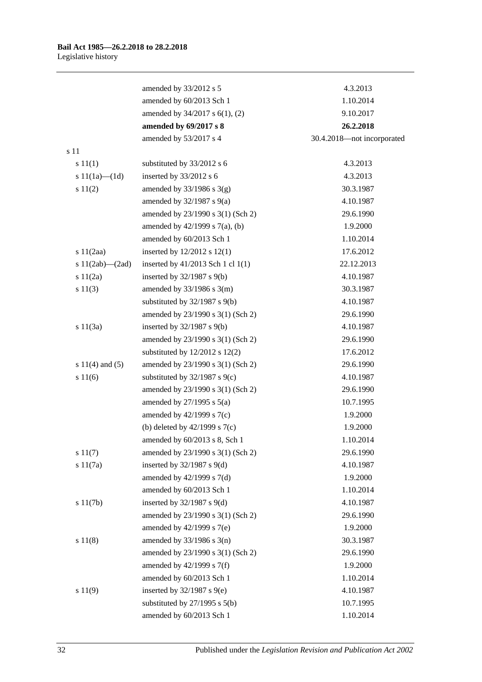|                       | amended by 33/2012 s 5             | 4.3.2013                   |
|-----------------------|------------------------------------|----------------------------|
|                       | amended by 60/2013 Sch 1           | 1.10.2014                  |
|                       | amended by 34/2017 s 6(1), (2)     | 9.10.2017                  |
|                       | amended by 69/2017 s 8             | 26.2.2018                  |
|                       | amended by 53/2017 s 4             | 30.4.2018-not incorporated |
| s 11                  |                                    |                            |
| s 11(1)               | substituted by 33/2012 s 6         | 4.3.2013                   |
| s $11(1a)$ — $(1d)$   | inserted by $33/2012$ s 6          | 4.3.2013                   |
| s 11(2)               | amended by $33/1986$ s $3(g)$      | 30.3.1987                  |
|                       | amended by $32/1987$ s $9(a)$      | 4.10.1987                  |
|                       | amended by 23/1990 s 3(1) (Sch 2)  | 29.6.1990                  |
|                       | amended by 42/1999 s 7(a), (b)     | 1.9.2000                   |
|                       | amended by 60/2013 Sch 1           | 1.10.2014                  |
| s $11(2aa)$           | inserted by $12/2012$ s $12(1)$    | 17.6.2012                  |
| s $11(2ab)$ — $(2ad)$ | inserted by 41/2013 Sch 1 cl 1(1)  | 22.12.2013                 |
| s $11(2a)$            | inserted by $32/1987$ s $9(b)$     | 4.10.1987                  |
| s 11(3)               | amended by $33/1986$ s $3(m)$      | 30.3.1987                  |
|                       | substituted by $32/1987$ s $9(b)$  | 4.10.1987                  |
|                       | amended by 23/1990 s 3(1) (Sch 2)  | 29.6.1990                  |
| s 11(3a)              | inserted by $32/1987$ s $9(b)$     | 4.10.1987                  |
|                       | amended by 23/1990 s 3(1) (Sch 2)  | 29.6.1990                  |
|                       | substituted by $12/2012$ s $12(2)$ | 17.6.2012                  |
| s $11(4)$ and $(5)$   | amended by 23/1990 s 3(1) (Sch 2)  | 29.6.1990                  |
| s 11(6)               | substituted by $32/1987$ s $9(c)$  | 4.10.1987                  |
|                       | amended by 23/1990 s 3(1) (Sch 2)  | 29.6.1990                  |
|                       | amended by $27/1995$ s $5(a)$      | 10.7.1995                  |
|                       | amended by $42/1999$ s $7(c)$      | 1.9.2000                   |
|                       | (b) deleted by $42/1999$ s $7(c)$  | 1.9.2000                   |
|                       | amended by $60/2013$ s 8, Sch 1    | 1.10.2014                  |
| s 11(7)               | amended by 23/1990 s 3(1) (Sch 2)  | 29.6.1990                  |
| s 11(7a)              | inserted by $32/1987$ s $9(d)$     | 4.10.1987                  |
|                       | amended by $42/1999$ s $7(d)$      | 1.9.2000                   |
|                       | amended by 60/2013 Sch 1           | 1.10.2014                  |
| s 11(7b)              | inserted by $32/1987$ s $9(d)$     | 4.10.1987                  |
|                       | amended by 23/1990 s 3(1) (Sch 2)  | 29.6.1990                  |
|                       | amended by 42/1999 s 7(e)          | 1.9.2000                   |
| s 11(8)               | amended by $33/1986$ s $3(n)$      | 30.3.1987                  |
|                       | amended by 23/1990 s 3(1) (Sch 2)  | 29.6.1990                  |
|                       | amended by 42/1999 s 7(f)          | 1.9.2000                   |
|                       | amended by 60/2013 Sch 1           | 1.10.2014                  |
| s 11(9)               | inserted by $32/1987$ s $9(e)$     | 4.10.1987                  |
|                       | substituted by $27/1995$ s $5(b)$  | 10.7.1995                  |
|                       | amended by 60/2013 Sch 1           | 1.10.2014                  |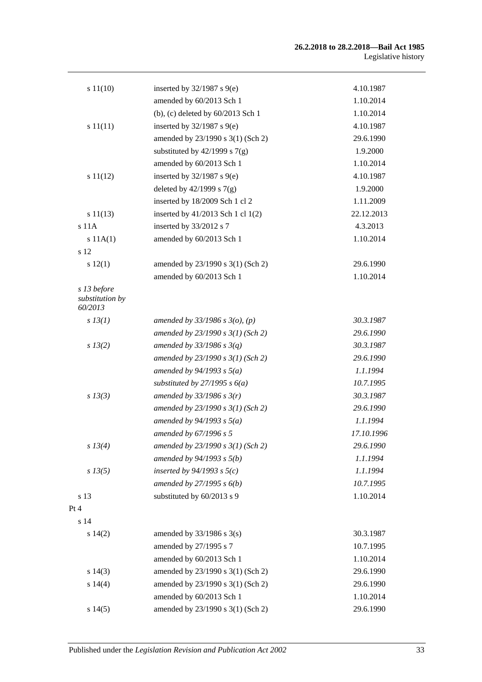| s 11(10)                       | inserted by $32/1987$ s $9(e)$      | 4.10.1987  |
|--------------------------------|-------------------------------------|------------|
|                                | amended by 60/2013 Sch 1            | 1.10.2014  |
|                                | (b), (c) deleted by $60/2013$ Sch 1 | 1.10.2014  |
| s 11(11)                       | inserted by $32/1987$ s $9(e)$      | 4.10.1987  |
|                                | amended by 23/1990 s 3(1) (Sch 2)   | 29.6.1990  |
|                                | substituted by $42/1999$ s $7(g)$   | 1.9.2000   |
|                                | amended by 60/2013 Sch 1            | 1.10.2014  |
| s 11(12)                       | inserted by $32/1987$ s $9(e)$      | 4.10.1987  |
|                                | deleted by $42/1999$ s $7(g)$       | 1.9.2000   |
|                                | inserted by 18/2009 Sch 1 cl 2      | 1.11.2009  |
| s 11(13)                       | inserted by 41/2013 Sch 1 cl 1(2)   | 22.12.2013 |
| $s$ 11 $A$                     | inserted by 33/2012 s 7             | 4.3.2013   |
| s 11A(1)                       | amended by 60/2013 Sch 1            | 1.10.2014  |
| s 12                           |                                     |            |
| s 12(1)                        | amended by 23/1990 s 3(1) (Sch 2)   | 29.6.1990  |
|                                | amended by 60/2013 Sch 1            | 1.10.2014  |
| s 13 before<br>substitution by |                                     |            |
| 60/2013                        |                                     |            |
| $s$ 13(1)                      | amended by $33/1986$ s $3(o)$ , (p) | 30.3.1987  |
|                                | amended by $23/1990 s 3(1)$ (Sch 2) | 29.6.1990  |
| $s\,13(2)$                     | amended by $33/1986$ s $3(q)$       | 30.3.1987  |
|                                | amended by $23/1990 s 3(1)$ (Sch 2) | 29.6.1990  |
|                                | amended by $94/1993$ s $5(a)$       | 1.1.1994   |
|                                | substituted by $27/1995 s 6(a)$     | 10.7.1995  |
| $s$ 13(3)                      | amended by $33/1986$ s $3(r)$       | 30.3.1987  |
|                                | amended by $23/1990 s 3(1)$ (Sch 2) | 29.6.1990  |
|                                | amended by $94/1993 s 5(a)$         | 1.1.1994   |
|                                | amended by 67/1996 s 5              | 17.10.1996 |
| s 13(4)                        | amended by 23/1990 s 3(1) (Sch 2)   | 29.6.1990  |
|                                | amended by $94/1993 s 5(b)$         | 1.1.1994   |
| $s\,13(5)$                     | inserted by $94/1993$ s $5(c)$      | 1.1.1994   |
|                                | amended by $27/1995 s 6(b)$         | 10.7.1995  |
| s 13                           | substituted by 60/2013 s 9          | 1.10.2014  |
| Pt 4                           |                                     |            |
| s 14                           |                                     |            |
| s 14(2)                        | amended by $33/1986$ s $3(s)$       | 30.3.1987  |
|                                | amended by 27/1995 s 7              | 10.7.1995  |
|                                | amended by 60/2013 Sch 1            | 1.10.2014  |
| s 14(3)                        | amended by 23/1990 s 3(1) (Sch 2)   | 29.6.1990  |
| s 14(4)                        | amended by 23/1990 s 3(1) (Sch 2)   | 29.6.1990  |
|                                | amended by 60/2013 Sch 1            | 1.10.2014  |
| s 14(5)                        | amended by 23/1990 s 3(1) (Sch 2)   | 29.6.1990  |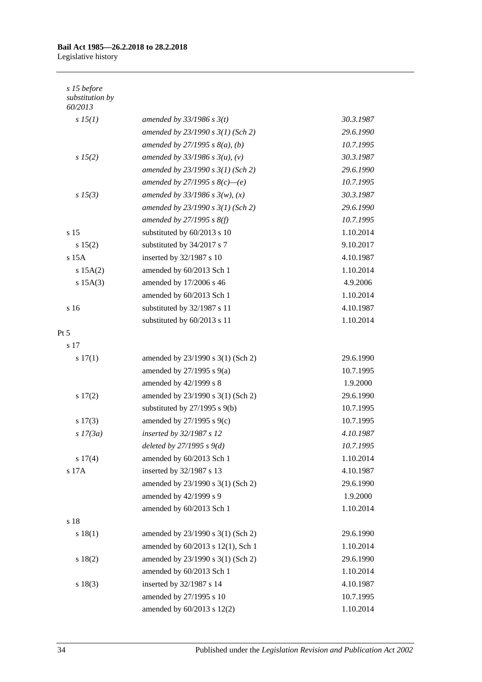#### **Bail Act 1985—26.2.2018 to 28.2.2018** Legislative history

| amended by $33/1986$ s $3(t)$       | 30.3.1987                                           |
|-------------------------------------|-----------------------------------------------------|
| amended by $23/1990 s 3(1)$ (Sch 2) | 29.6.1990                                           |
| amended by $27/1995 s 8(a)$ , (b)   | 10.7.1995                                           |
| amended by $33/1986 s 3(u)$ , (v)   | 30.3.1987                                           |
| amended by 23/1990 s 3(1) (Sch 2)   | 29.6.1990                                           |
| amended by 27/1995 s $8(c)$ —(e)    | 10.7.1995                                           |
| amended by $33/1986 s 3(w)$ , (x)   | 30.3.1987                                           |
| amended by 23/1990 s 3(1) (Sch 2)   | 29.6.1990                                           |
| amended by $27/1995$ s $8(f)$       | 10.7.1995                                           |
| substituted by 60/2013 s 10         | 1.10.2014                                           |
| substituted by 34/2017 s 7          | 9.10.2017                                           |
| inserted by 32/1987 s 10            | 4.10.1987                                           |
| amended by 60/2013 Sch 1            | 1.10.2014                                           |
| amended by 17/2006 s 46             | 4.9.2006                                            |
| amended by 60/2013 Sch 1            | 1.10.2014                                           |
| substituted by 32/1987 s 11         | 4.10.1987                                           |
| substituted by 60/2013 s 11         | 1.10.2014                                           |
|                                     |                                                     |
|                                     |                                                     |
| amended by 23/1990 s 3(1) (Sch 2)   | 29.6.1990                                           |
| amended by $27/1995$ s $9(a)$       | 10.7.1995                                           |
| amended by 42/1999 s 8              | 1.9.2000                                            |
| amended by 23/1990 s 3(1) (Sch 2)   | 29.6.1990                                           |
| substituted by $27/1995$ s $9(b)$   | 10.7.1995                                           |
| amended by $27/1995$ s $9(c)$       | 10.7.1995                                           |
| inserted by 32/1987 s 12            | 4.10.1987                                           |
| deleted by $27/1995 s 9(d)$         | 10.7.1995                                           |
| amended by 60/2013 Sch 1            | 1.10.2014                                           |
| inserted by 32/1987 s 13            | 4.10.1987                                           |
| amended by 23/1990 s 3(1) (Sch 2)   | 29.6.1990                                           |
| amended by 42/1999 s 9              | 1.9.2000                                            |
| amended by 60/2013 Sch 1            | 1.10.2014                                           |
|                                     |                                                     |
| amended by 23/1990 s 3(1) (Sch 2)   | 29.6.1990                                           |
| amended by 60/2013 s 12(1), Sch 1   | 1.10.2014                                           |
| amended by 23/1990 s 3(1) (Sch 2)   | 29.6.1990                                           |
| amended by 60/2013 Sch 1            | 1.10.2014                                           |
|                                     | 4.10.1987                                           |
|                                     | 10.7.1995                                           |
| amended by 60/2013 s 12(2)          | 1.10.2014                                           |
|                                     | inserted by 32/1987 s 14<br>amended by 27/1995 s 10 |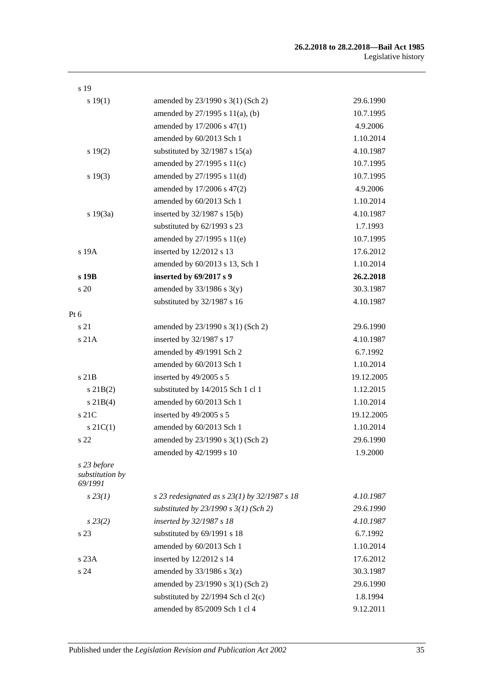| s 19                                      |                                                  |            |
|-------------------------------------------|--------------------------------------------------|------------|
| s 19(1)                                   | amended by 23/1990 s 3(1) (Sch 2)                | 29.6.1990  |
|                                           | amended by 27/1995 s 11(a), (b)                  | 10.7.1995  |
|                                           | amended by 17/2006 s 47(1)                       | 4.9.2006   |
|                                           | amended by 60/2013 Sch 1                         | 1.10.2014  |
| s 19(2)                                   | substituted by $32/1987$ s $15(a)$               | 4.10.1987  |
|                                           | amended by $27/1995$ s $11(c)$                   | 10.7.1995  |
| s 19(3)                                   | amended by $27/1995$ s $11(d)$                   | 10.7.1995  |
|                                           | amended by 17/2006 s 47(2)                       | 4.9.2006   |
|                                           | amended by 60/2013 Sch 1                         | 1.10.2014  |
| s 19(3a)                                  | inserted by $32/1987$ s $15(b)$                  | 4.10.1987  |
|                                           | substituted by 62/1993 s 23                      | 1.7.1993   |
|                                           | amended by 27/1995 s 11(e)                       | 10.7.1995  |
| s 19A                                     | inserted by 12/2012 s 13                         | 17.6.2012  |
|                                           | amended by 60/2013 s 13, Sch 1                   | 1.10.2014  |
| s 19B                                     | inserted by 69/2017 s 9                          | 26.2.2018  |
| s 20                                      | amended by $33/1986$ s $3(y)$                    | 30.3.1987  |
|                                           | substituted by 32/1987 s 16                      | 4.10.1987  |
| Pt 6                                      |                                                  |            |
| s 21                                      | amended by 23/1990 s 3(1) (Sch 2)                | 29.6.1990  |
| s21A                                      | inserted by 32/1987 s 17                         | 4.10.1987  |
|                                           | amended by 49/1991 Sch 2                         | 6.7.1992   |
|                                           | amended by 60/2013 Sch 1                         | 1.10.2014  |
| $s$ 21 $B$                                | inserted by 49/2005 s 5                          | 19.12.2005 |
| $s$ 21B(2)                                | substituted by 14/2015 Sch 1 cl 1                | 1.12.2015  |
| $s \, 21B(4)$                             | amended by 60/2013 Sch 1                         | 1.10.2014  |
| s 21C                                     | inserted by 49/2005 s 5                          | 19.12.2005 |
| $s \, 21C(1)$                             | amended by 60/2013 Sch 1                         | 1.10.2014  |
| s 22                                      | amended by 23/1990 s 3(1) (Sch 2)                | 29.6.1990  |
|                                           | amended by 42/1999 s 10                          | 1.9.2000   |
| s 23 before<br>substitution by<br>69/1991 |                                                  |            |
| $s\,23(1)$                                | s 23 redesignated as s $23(1)$ by $32/1987$ s 18 | 4.10.1987  |
|                                           | substituted by $23/1990 s 3(1)$ (Sch 2)          | 29.6.1990  |
| $s\,23(2)$                                | inserted by 32/1987 s 18                         | 4.10.1987  |
| s 23                                      | substituted by 69/1991 s 18                      | 6.7.1992   |
|                                           | amended by 60/2013 Sch 1                         | 1.10.2014  |
| s23A                                      | inserted by 12/2012 s 14                         | 17.6.2012  |
| s 24                                      | amended by $33/1986$ s $3(z)$                    | 30.3.1987  |
|                                           | amended by 23/1990 s 3(1) (Sch 2)                | 29.6.1990  |
|                                           | substituted by $22/1994$ Sch cl $2(c)$           | 1.8.1994   |
|                                           | amended by 85/2009 Sch 1 cl 4                    | 9.12.2011  |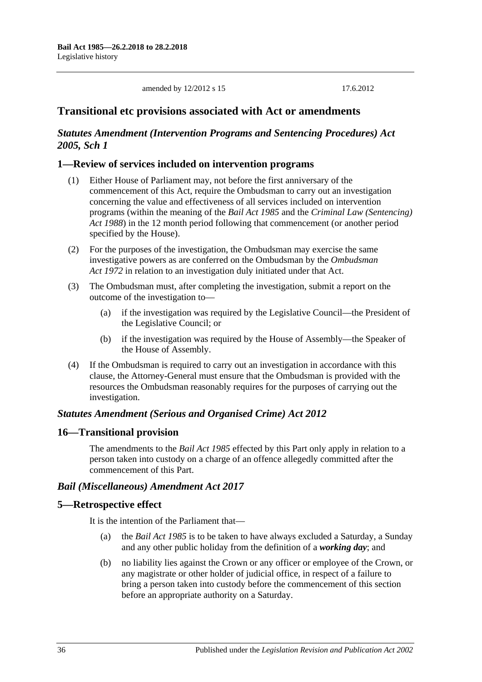amended by 12/2012 s 15 17.6.2012

### **Transitional etc provisions associated with Act or amendments**

### *Statutes Amendment (Intervention Programs and Sentencing Procedures) Act 2005, Sch 1*

### **1—Review of services included on intervention programs**

- (1) Either House of Parliament may, not before the first anniversary of the commencement of this Act, require the Ombudsman to carry out an investigation concerning the value and effectiveness of all services included on intervention programs (within the meaning of the *[Bail Act](http://www.legislation.sa.gov.au/index.aspx?action=legref&type=act&legtitle=Bail%20Act%201985) 1985* and the *[Criminal Law \(Sentencing\)](http://www.legislation.sa.gov.au/index.aspx?action=legref&type=act&legtitle=Criminal%20Law%20(Sentencing)%20Act%201988)  Act [1988](http://www.legislation.sa.gov.au/index.aspx?action=legref&type=act&legtitle=Criminal%20Law%20(Sentencing)%20Act%201988)*) in the 12 month period following that commencement (or another period specified by the House).
- (2) For the purposes of the investigation, the Ombudsman may exercise the same investigative powers as are conferred on the Ombudsman by the *[Ombudsman](http://www.legislation.sa.gov.au/index.aspx?action=legref&type=act&legtitle=Ombudsman%20Act%201972)  Act [1972](http://www.legislation.sa.gov.au/index.aspx?action=legref&type=act&legtitle=Ombudsman%20Act%201972)* in relation to an investigation duly initiated under that Act.
- (3) The Ombudsman must, after completing the investigation, submit a report on the outcome of the investigation to—
	- (a) if the investigation was required by the Legislative Council—the President of the Legislative Council; or
	- (b) if the investigation was required by the House of Assembly—the Speaker of the House of Assembly.
- (4) If the Ombudsman is required to carry out an investigation in accordance with this clause, the Attorney-General must ensure that the Ombudsman is provided with the resources the Ombudsman reasonably requires for the purposes of carrying out the investigation.

#### *Statutes Amendment (Serious and Organised Crime) Act 2012*

#### **16—Transitional provision**

The amendments to the *[Bail Act](http://www.legislation.sa.gov.au/index.aspx?action=legref&type=act&legtitle=Bail%20Act%201985) 1985* effected by this Part only apply in relation to a person taken into custody on a charge of an offence allegedly committed after the commencement of this Part.

#### *Bail (Miscellaneous) Amendment Act 2017*

#### **5—Retrospective effect**

It is the intention of the Parliament that—

- (a) the *[Bail Act](http://www.legislation.sa.gov.au/index.aspx?action=legref&type=act&legtitle=Bail%20Act%201985) 1985* is to be taken to have always excluded a Saturday, a Sunday and any other public holiday from the definition of a *working day*; and
- (b) no liability lies against the Crown or any officer or employee of the Crown, or any magistrate or other holder of judicial office, in respect of a failure to bring a person taken into custody before the commencement of this section before an appropriate authority on a Saturday.